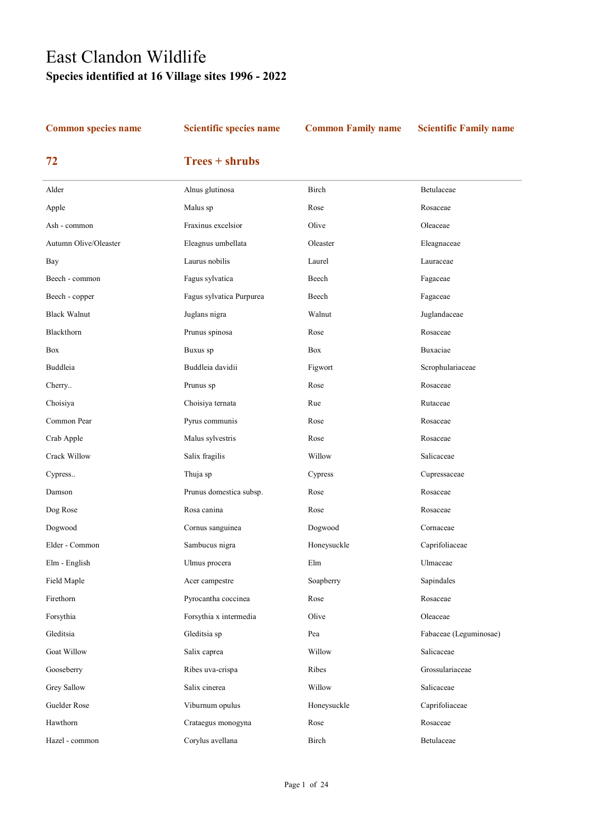# East Clandon Wildlife Species identified at 16 Village sites 1996 - 2022

### Common species name Scientific species name Common Family name Scientific Family name

## 72 Trees + shrubs

| Alder                 | Alnus glutinosa          | Birch       | Betulaceae             |
|-----------------------|--------------------------|-------------|------------------------|
| Apple                 | Malus sp                 | Rose        | Rosaceae               |
| Ash - common          | Fraxinus excelsior       | Olive       | Oleaceae               |
| Autumn Olive/Oleaster | Eleagnus umbellata       | Oleaster    | Eleagnaceae            |
| Bay                   | Laurus nobilis           | Laurel      | Lauraceae              |
| Beech - common        | Fagus sylvatica          | Beech       | Fagaceae               |
| Beech - copper        | Fagus sylvatica Purpurea | Beech       | Fagaceae               |
| <b>Black Walnut</b>   | Juglans nigra            | Walnut      | Juglandaceae           |
| Blackthorn            | Prunus spinosa           | Rose        | Rosaceae               |
| Box                   | Buxus sp                 | <b>Box</b>  | Buxaciae               |
| Buddleia              | Buddleia davidii         | Figwort     | Scrophulariaceae       |
| Cherry                | Prunus sp                | Rose        | Rosaceae               |
| Choisiya              | Choisiya ternata         | Rue         | Rutaceae               |
| Common Pear           | Pyrus communis           | Rose        | Rosaceae               |
| Crab Apple            | Malus sylvestris         | Rose        | Rosaceae               |
| Crack Willow          | Salix fragilis           | Willow      | Salicaceae             |
| Cypress               | Thuja sp                 | Cypress     | Cupressaceae           |
| Damson                | Prunus domestica subsp.  | Rose        | Rosaceae               |
| Dog Rose              | Rosa canina              | Rose        | Rosaceae               |
| Dogwood               | Cornus sanguinea         | Dogwood     | Cornaceae              |
| Elder - Common        | Sambucus nigra           | Honeysuckle | Caprifoliaceae         |
| Elm - English         | Ulmus procera            | Elm         | Ulmaceae               |
| Field Maple           | Acer campestre           | Soapberry   | Sapindales             |
| Firethorn             | Pyrocantha coccinea      | Rose        | Rosaceae               |
| Forsythia             | Forsythia x intermedia   | Olive       | Oleaceae               |
| Gleditsia             | Gleditsia sp             | Pea         | Fabaceae (Leguminosae) |
| <b>Goat Willow</b>    | Salix caprea             | Willow      | Salicaceae             |
| Gooseberry            | Ribes uva-crispa         | Ribes       | Grossulariaceae        |
| Grey Sallow           | Salix cinerea            | Willow      | Salicaceae             |
| Guelder Rose          | Viburnum opulus          | Honeysuckle | Caprifoliaceae         |
| Hawthorn              | Crataegus monogyna       | Rose        | Rosaceae               |
| Hazel - common        | Corylus avellana         | Birch       | Betulaceae             |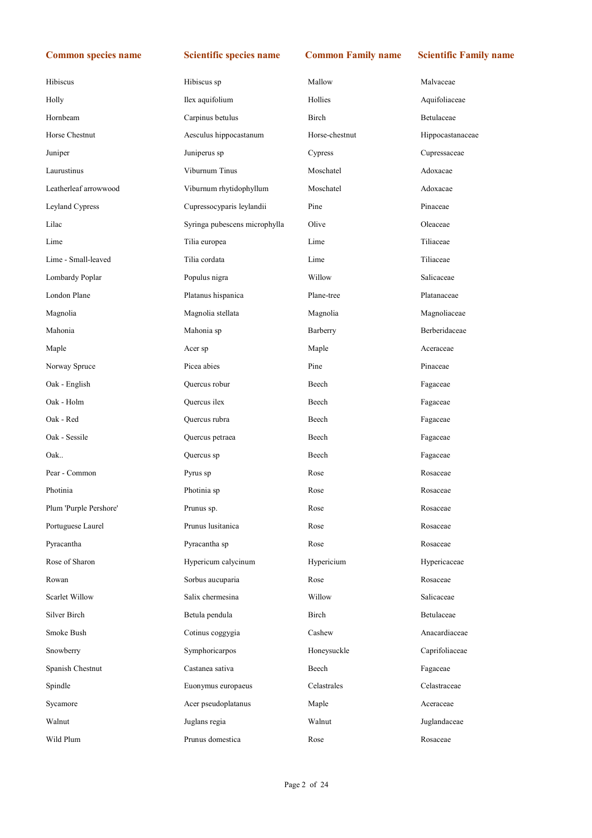| Hibiscus               | Hibiscus sp                   | Mallow         | Malvaceae        |
|------------------------|-------------------------------|----------------|------------------|
| Holly                  | Ilex aquifolium               | Hollies        | Aquifoliaceae    |
| Hornbeam               | Carpinus betulus              | Birch          | Betulaceae       |
| Horse Chestnut         | Aesculus hippocastanum        | Horse-chestnut | Hippocastanaceae |
| Juniper                | Juniperus sp                  | Cypress        | Cupressaceae     |
| Laurustinus            | Viburnum Tinus                | Moschatel      | Adoxacae         |
| Leatherleaf arrowwood  | Viburnum rhytidophyllum       | Moschatel      | Adoxacae         |
| Leyland Cypress        | Cupressocyparis leylandii     | Pine           | Pinaceae         |
| Lilac                  | Syringa pubescens microphylla | Olive          | Oleaceae         |
| Lime                   | Tilia europea                 | Lime           | Tiliaceae        |
| Lime - Small-leaved    | Tilia cordata                 | Lime           | Tiliaceae        |
| Lombardy Poplar        | Populus nigra                 | Willow         | Salicaceae       |
| London Plane           | Platanus hispanica            | Plane-tree     | Platanaceae      |
| Magnolia               | Magnolia stellata             | Magnolia       | Magnoliaceae     |
| Mahonia                | Mahonia sp                    | Barberry       | Berberidaceae    |
| Maple                  | Acer sp                       | Maple          | Aceraceae        |
| Norway Spruce          | Picea abies                   | Pine           | Pinaceae         |
| Oak - English          | Quercus robur                 | Beech          | Fagaceae         |
| Oak - Holm             | Quercus ilex                  | Beech          | Fagaceae         |
| Oak - Red              | Quercus rubra                 | Beech          | Fagaceae         |
| Oak - Sessile          | Quercus petraea               | Beech          | Fagaceae         |
| Oak                    | Quercus sp                    | Beech          | Fagaceae         |
| Pear - Common          | Pyrus sp                      | Rose           | Rosaceae         |
| Photinia               | Photinia sp                   | Rose           | Rosaceae         |
| Plum 'Purple Pershore' | Prunus sp.                    | Rose           | Rosaceae         |
| Portuguese Laurel      | Prunus lusitanica             | Rose           | Rosaceae         |
| Pyracantha             | Pyracantha sp                 | Rose           | Rosaceae         |
| Rose of Sharon         | Hypericum calycinum           | Hypericium     | Hypericaceae     |
| Rowan                  | Sorbus aucuparia              | Rose           | Rosaceae         |
| Scarlet Willow         | Salix chermesina              | Willow         | Salicaceae       |
| Silver Birch           | Betula pendula                | Birch          | Betulaceae       |
| Smoke Bush             | Cotinus coggygia              | Cashew         | Anacardiaceae    |
| Snowberry              | Symphoricarpos                | Honeysuckle    | Caprifoliaceae   |
| Spanish Chestnut       | Castanea sativa               | Beech          | Fagaceae         |
| Spindle                | Euonymus europaeus            | Celastrales    | Celastraceae     |
| Sycamore               | Acer pseudoplatanus           | Maple          | Aceraceae        |
| Walnut                 | Juglans regia                 | Walnut         | Juglandaceae     |
| Wild Plum              | Prunus domestica              | Rose           | Rosaceae         |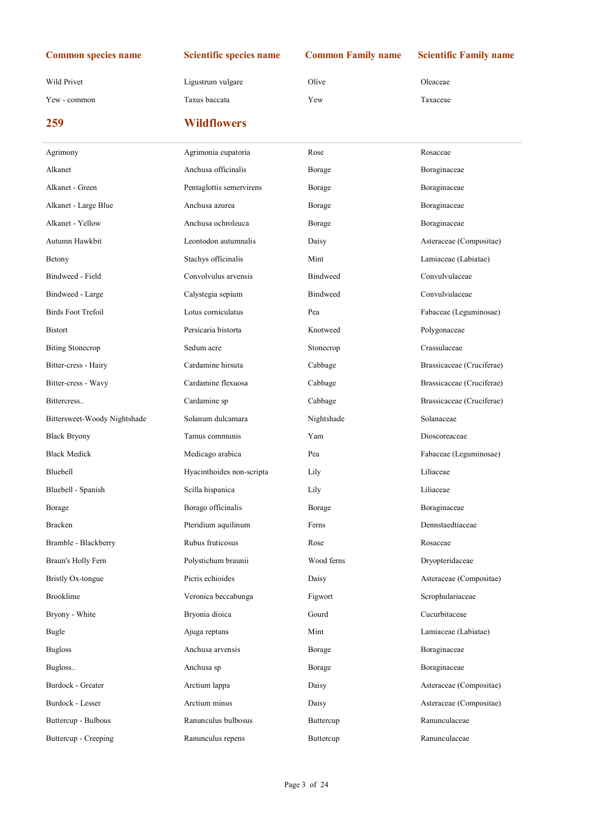Wild Privet **Ligustrum vulgare** Olive Oleaceae **Olive** Oleaceae

Yew - common Taxus baccata Yew Taxaceae

| 259                     | <b>Wildflowers</b>             |                      |                                      |
|-------------------------|--------------------------------|----------------------|--------------------------------------|
| Agrimony                | Agrimonia eupatoria            | Rose                 | Rosaceae                             |
| Alkanet                 | Anchusa officinalis            | Borage               | Boraginaceae                         |
| Alkanet - Green         | Pentaglottis semervirens       | Borage               | Boraginaceae                         |
| Alkanet - Large Blue    | Anchusa azurea                 | Borage               | Boraginaceae                         |
| Alkanet - Yellow        | Anchusa ochroleuca             | Borage               | Boraginaceae                         |
| Autumn Hawkbit          | Leontodon autumnalis           | Daisy                | Asteraceae (Composit                 |
| Betony                  | Stachys officinalis            | Mint                 | Lamiaceae (Labiatae)                 |
| <b>Bindweed - Field</b> | Convolvulus arvensis           | <b>Bindweed</b>      | Convulvulaceae                       |
| Bindweed - Large        | Calystegia sepium              | <b>Bindweed</b>      | Convulvulaceae                       |
| Birds Foot Trefoil      | Lotus corniculatus             | Pea                  | Fabaceae (Leguminos                  |
| <b>Bistort</b>          | Persicaria bistorta            | Knotweed             | Polygonaceae                         |
| <b>Biting Stonecrop</b> | Sedum acre                     | Stonecrop            | Crassulaceae                         |
| Bitter-cress - Hairy    | Cardamine hirsuta              | Cabbage              | Brassicaceae (Crucife                |
| Bitter-cress - Wavy     | Cardamine flexuosa             | Cabbage              | Brassicaceae (Crucife                |
| Dittananana             | $C$ ondomino on $\overline{C}$ | $C_2$ is in a second | D <sub>ragar</sub> against $C$ mails |

| Alkanet                      | Anchusa officinalis       | Borage          | Boraginaceae              |
|------------------------------|---------------------------|-----------------|---------------------------|
| Alkanet - Green              | Pentaglottis semervirens  | Borage          | Boraginaceae              |
| Alkanet - Large Blue         | Anchusa azurea            | Borage          | Boraginaceae              |
| Alkanet - Yellow             | Anchusa ochroleuca        | Borage          | Boraginaceae              |
| Autumn Hawkbit               | Leontodon autumnalis      | Daisy           | Asteraceae (Compositae)   |
| Betony                       | Stachys officinalis       | Mint            | Lamiaceae (Labiatae)      |
| Bindweed - Field             | Convolvulus arvensis      | <b>Bindweed</b> | Convulvulaceae            |
| Bindweed - Large             | Calystegia sepium         | <b>Bindweed</b> | Convulvulaceae            |
| <b>Birds Foot Trefoil</b>    | Lotus corniculatus        | Pea             | Fabaceae (Leguminosae)    |
| Bistort                      | Persicaria bistorta       | Knotweed        | Polygonaceae              |
| <b>Biting Stonecrop</b>      | Sedum acre                | Stonecrop       | Crassulaceae              |
| Bitter-cress - Hairy         | Cardamine hirsuta         | Cabbage         | Brassicaceae (Cruciferae) |
| Bitter-cress - Wavy          | Cardamine flexuosa        | Cabbage         | Brassicaceae (Cruciferae) |
| Bittercress                  | Cardamine sp              | Cabbage         | Brassicaceae (Cruciferae) |
| Bittersweet-Woody Nightshade | Solanum dulcamara         | Nightshade      | Solanaceae                |
| <b>Black Bryony</b>          | Tamus communis            | Yam             | Dioscoreaceae             |
| <b>Black Medick</b>          | Medicago arabica          | Pea             | Fabaceae (Leguminosae)    |
| Bluebell                     | Hyacinthoides non-scripta | Lily            | Liliaceae                 |
| Bluebell - Spanish           | Scilla hispanica          | Lily            | Liliaceae                 |
| Borage                       | Borago officinalis        | Borage          | Boraginaceae              |
| Bracken                      | Pteridium aquilinum       | Ferns           | Dennstaedtiaceae          |
| Bramble - Blackberry         | Rubus fruticosus          | Rose            | Rosaceae                  |
| Braun's Holly Fern           | Polystichum braunii       | Wood ferns      | Dryopteridaceae           |
| <b>Bristly Ox-tongue</b>     | Picris echioides          | Daisy           | Asteraceae (Compositae)   |
| <b>Brooklime</b>             | Veronica beccabunga       | Figwort         | Scrophulariaceae          |
| Bryony - White               | Bryonia dioica            | Gourd           | Cucurbitaceae             |
| Bugle                        | Ajuga reptans             | Mint            | Lamiaceae (Labiatae)      |
| <b>Bugloss</b>               | Anchusa arvensis          | Borage          | Boraginaceae              |
| Bugloss                      | Anchusa sp                | Borage          | Boraginaceae              |
| <b>Burdock - Greater</b>     | Arctium lappa             | Daisy           | Asteraceae (Compositae)   |
| Burdock - Lesser             | Arctium minus             | Daisy           | Asteraceae (Compositae)   |
| Buttercup - Bulbous          | Ranunculus bulbosus       | Buttercup       | Ranunculaceae             |
| Buttercup - Creeping         | Ranunculus repens         | Buttercup       | Ranunculaceae             |
|                              |                           |                 |                           |
|                              |                           |                 |                           |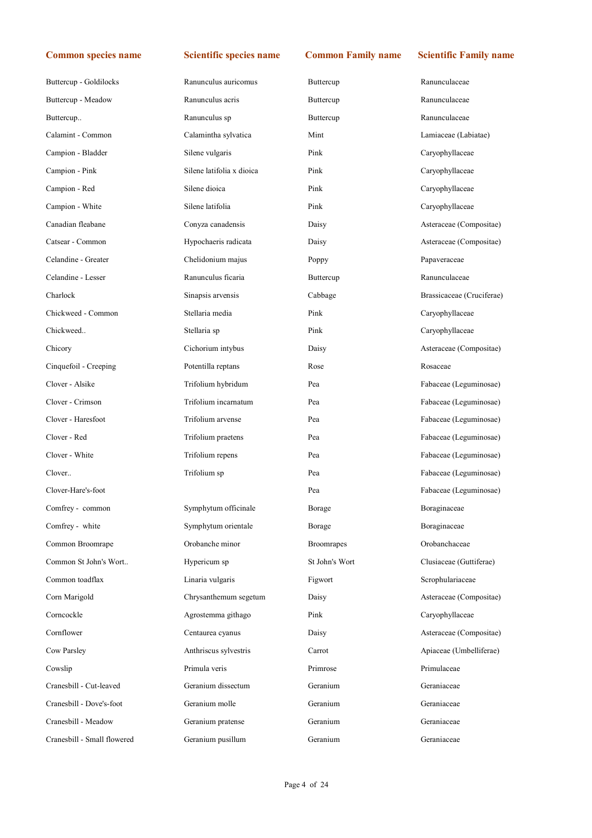| Buttercup - Goldilocks      | Ranunculus auricomus      | Buttercup         | Ranunculaceae             |
|-----------------------------|---------------------------|-------------------|---------------------------|
| Buttercup - Meadow          | Ranunculus acris          | Buttercup         | Ranunculaceae             |
| Buttercup                   | Ranunculus sp             | Buttercup         | Ranunculaceae             |
| Calamint - Common           | Calamintha sylvatica      | Mint              | Lamiaceae (Labiatae)      |
| Campion - Bladder           | Silene vulgaris           | Pink              | Caryophyllaceae           |
| Campion - Pink              | Silene latifolia x dioica | Pink              | Caryophyllaceae           |
| Campion - Red               | Silene dioica             | Pink              | Caryophyllaceae           |
| Campion - White             | Silene latifolia          | Pink              | Caryophyllaceae           |
| Canadian fleabane           | Conyza canadensis         | Daisy             | Asteraceae (Compositae)   |
| Catsear - Common            | Hypochaeris radicata      | Daisy             | Asteraceae (Compositae)   |
| Celandine - Greater         | Chelidonium majus         | Poppy             | Papaveraceae              |
| Celandine - Lesser          | Ranunculus ficaria        | Buttercup         | Ranunculaceae             |
| Charlock                    | Sinapsis arvensis         | Cabbage           | Brassicaceae (Cruciferae) |
| Chickweed - Common          | Stellaria media           | Pink              | Caryophyllaceae           |
| Chickweed                   | Stellaria sp              | Pink              | Caryophyllaceae           |
| Chicory                     | Cichorium intybus         | Daisy             | Asteraceae (Compositae)   |
| Cinquefoil - Creeping       | Potentilla reptans        | Rose              | Rosaceae                  |
| Clover - Alsike             | Trifolium hybridum        | Pea               | Fabaceae (Leguminosae)    |
| Clover - Crimson            | Trifolium incarnatum      | Pea               | Fabaceae (Leguminosae)    |
| Clover - Haresfoot          | Trifolium arvense         | Pea               | Fabaceae (Leguminosae)    |
| Clover - Red                | Trifolium praetens        | Pea               | Fabaceae (Leguminosae)    |
| Clover - White              | Trifolium repens          | Pea               | Fabaceae (Leguminosae)    |
| Clover                      | Trifolium sp              | Pea               | Fabaceae (Leguminosae)    |
| Clover-Hare's-foot          |                           | Pea               | Fabaceae (Leguminosae)    |
| Comfrey - common            | Symphytum officinale      | Borage            | Boraginaceae              |
| Comfrey - white             | Symphytum orientale       | Borage            | Boraginaceae              |
| Common Broomrape            | Orobanche minor           | <b>Broomrapes</b> | Orobanchaceae             |
| Common St John's Wort       | Hypericum sp              | St John's Wort    | Clusiaceae (Guttiferae)   |
| Common toadflax             | Linaria vulgaris          | Figwort           | Scrophulariaceae          |
| Corn Marigold               | Chrysanthemum segetum     | Daisy             | Asteraceae (Compositae)   |
| Corncockle                  | Agrostemma githago        | Pink              | Caryophyllaceae           |
| Cornflower                  | Centaurea cyanus          | Daisy             | Asteraceae (Compositae)   |
| Cow Parsley                 | Anthriscus sylvestris     | Carrot            | Apiaceae (Umbelliferae)   |
| Cowslip                     | Primula veris             | Primrose          | Primulaceae               |
| Cranesbill - Cut-leaved     | Geranium dissectum        | Geranium          | Geraniaceae               |
| Cranesbill - Dove's-foot    | Geranium molle            | Geranium          | Geraniaceae               |
| Cranesbill - Meadow         | Geranium pratense         | Geranium          | Geraniaceae               |
| Cranesbill - Small flowered | Geranium pusillum         | Geranium          | Geraniaceae               |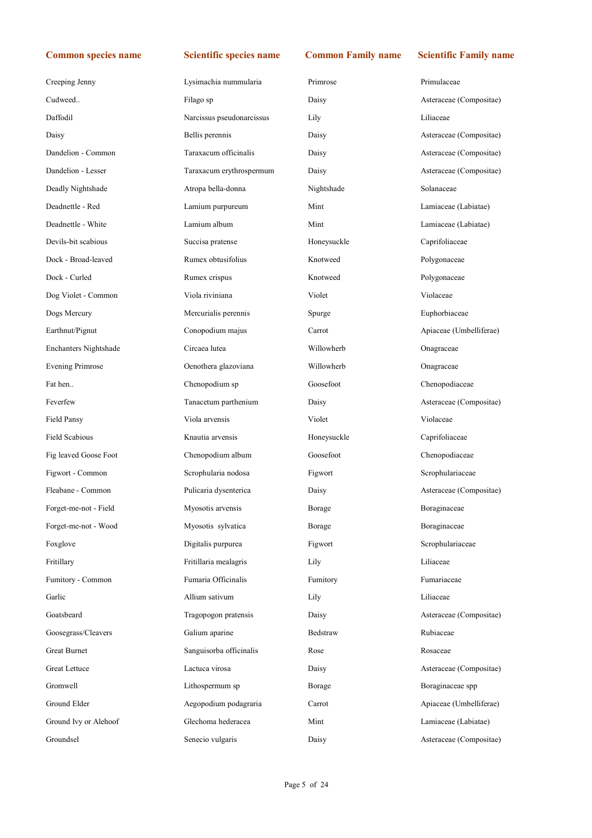| Creeping Jenny          | Lysimachia nummularia     | Primrose    | Primulaceae             |
|-------------------------|---------------------------|-------------|-------------------------|
| Cudweed                 | Filago sp                 | Daisy       | Asteraceae (Compositae) |
| Daffodil                | Narcissus pseudonarcissus | Lily        | Liliaceae               |
| Daisy                   | Bellis perennis           | Daisy       | Asteraceae (Compositae) |
| Dandelion - Common      | Taraxacum officinalis     | Daisy       | Asteraceae (Compositae) |
| Dandelion - Lesser      | Taraxacum erythrospermum  | Daisy       | Asteraceae (Compositae) |
| Deadly Nightshade       | Atropa bella-donna        | Nightshade  | Solanaceae              |
| Deadnettle - Red        | Lamium purpureum          | Mint        | Lamiaceae (Labiatae)    |
| Deadnettle - White      | Lamium album              | Mint        | Lamiaceae (Labiatae)    |
| Devils-bit scabious     | Succisa pratense          | Honeysuckle | Caprifoliaceae          |
| Dock - Broad-leaved     | Rumex obtusifolius        | Knotweed    | Polygonaceae            |
| Dock - Curled           | Rumex crispus             | Knotweed    | Polygonaceae            |
| Dog Violet - Common     | Viola riviniana           | Violet      | Violaceae               |
| Dogs Mercury            | Mercurialis perennis      | Spurge      | Euphorbiaceae           |
| Earthnut/Pignut         | Conopodium majus          | Carrot      | Apiaceae (Umbelliferae) |
| Enchanters Nightshade   | Circaea lutea             | Willowherb  | Onagraceae              |
| <b>Evening Primrose</b> | Oenothera glazoviana      | Willowherb  | Onagraceae              |
| Fat hen                 | Chenopodium sp            | Goosefoot   | Chenopodiaceae          |
| Feverfew                | Tanacetum parthenium      | Daisy       | Asteraceae (Compositae) |
|                         |                           |             |                         |
| Field Pansy             | Viola arvensis            | Violet      | Violaceae               |
| <b>Field Scabious</b>   | Knautia arvensis          | Honeysuckle | Caprifoliaceae          |
| Fig leaved Goose Foot   | Chenopodium album         | Goosefoot   | Chenopodiaceae          |
| Figwort - Common        | Scrophularia nodosa       | Figwort     | Scrophulariaceae        |
| Fleabane - Common       | Pulicaria dysenterica     | Daisy       | Asteraceae (Compositae) |
| Forget-me-not - Field   | Myosotis arvensis         | Borage      | Boraginaceae            |
| Forget-me-not - Wood    | Myosotis sylvatica        | Borage      | Boraginaceae            |
| Foxglove                | Digitalis purpurea        | Figwort     | Scrophulariaceae        |
| Fritillary              | Fritillaria mealagris     | Lily        | Liliaceae               |
| Fumitory - Common       | Fumaria Officinalis       | Fumitory    | Fumariaceae             |
| Garlic                  | Allium sativum            | Lily        | Liliaceae               |
| Goatsbeard              | Tragopogon pratensis      | Daisy       | Asteraceae (Compositae) |
| Goosegrass/Cleavers     | Galium aparine            | Bedstraw    | Rubiaceae               |
| Great Burnet            | Sanguisorba officinalis   | Rose        | Rosaceae                |
| Great Lettuce           | Lactuca virosa            | Daisy       | Asteraceae (Compositae) |
| Gromwell                | Lithospermum sp           | Borage      | Boraginaceae spp        |
| Ground Elder            | Aegopodium podagraria     | Carrot      | Apiaceae (Umbelliferae) |
| Ground Ivy or Alehoof   | Glechoma hederacea        | Mint        | Lamiaceae (Labiatae)    |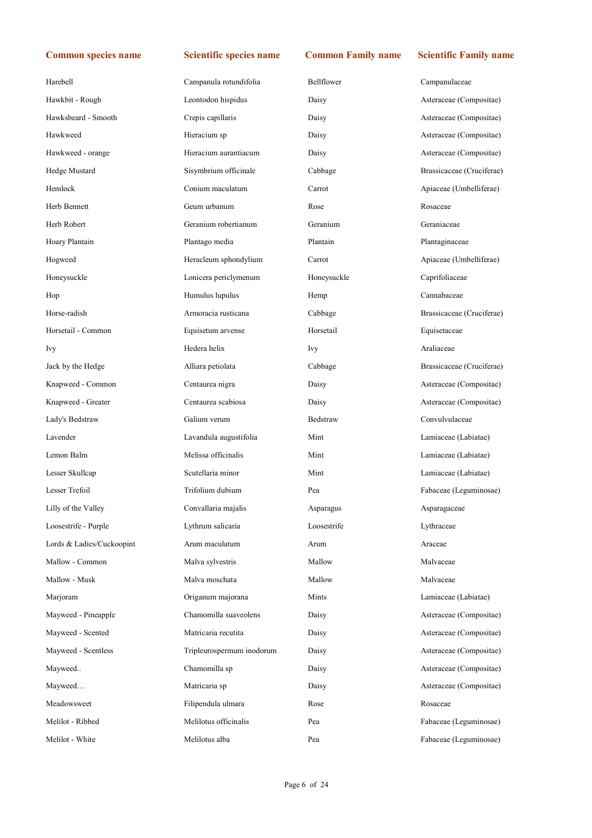| Harebell                  | Campanula rotundifolia    | Bellflower  | Campanulaceae             |
|---------------------------|---------------------------|-------------|---------------------------|
| Hawkbit - Rough           | Leontodon hispidus        | Daisy       | Asteraceae (Compositae)   |
| Hawksbeard - Smooth       | Crepis capillaris         | Daisy       | Asteraceae (Compositae)   |
| Hawkweed                  | Hieracium sp              | Daisy       | Asteraceae (Compositae)   |
| Hawkweed - orange         | Hieracium aurantiacum     | Daisy       | Asteraceae (Compositae)   |
| Hedge Mustard             | Sisymbrium officinale     | Cabbage     | Brassicaceae (Cruciferae) |
| Hemlock                   | Conium maculatum          | Carrot      | Apiaceae (Umbelliferae)   |
| Herb Bennett              | Geum urbanum              | Rose        | Rosaceae                  |
| Herb Robert               | Geranium robertianum      | Geranium    | Geraniaceae               |
| Hoary Plantain            | Plantago media            | Plantain    | Plantaginaceae            |
| Hogweed                   | Heracleum sphondylium     | Carrot      | Apiaceae (Umbelliferae)   |
| Honeysuckle               | Lonicera periclymenum     | Honeysuckle | Caprifoliaceae            |
| Hop                       | Humulus lupulus           | Hemp        | Cannabaceae               |
| Horse-radish              | Armoracia rusticana       | Cabbage     | Brassicaceae (Cruciferae) |
| Horsetail - Common        | Equisetum arvense         | Horsetail   | Equisetaceae              |
| <b>Ivy</b>                | Hedera helix              | Ivy         | Araliaceae                |
| Jack by the Hedge         | Alliara petiolata         | Cabbage     | Brassicaceae (Cruciferae) |
| Knapweed - Common         | Centaurea nigra           | Daisy       | Asteraceae (Compositae)   |
| Knapweed - Greater        | Centaurea scabiosa        | Daisy       | Asteraceae (Compositae)   |
| Lady's Bedstraw           | Galium verum              | Bedstraw    | Convulvulaceae            |
| Lavender                  | Lavandula augustifolia    | Mint        | Lamiaceae (Labiatae)      |
| Lemon Balm                | Melissa officinalis       | Mint        | Lamiaceae (Labiatae)      |
| Lesser Skullcap           | Scutellaria minor         | Mint        | Lamiaceae (Labiatae)      |
| Lesser Trefoil            | Trifolium dubium          | Pea         | Fabaceae (Leguminosae)    |
| Lilly of the Valley       | Convallaria majalis       | Asparagus   | Asparagaceae              |
| Loosestrife - Purple      | Lythrum salicaria         | Loosestrife | Lythraceae                |
| Lords & Ladies/Cuckoopint | Arum maculatum            | Arum        | Araceae                   |
| Mallow - Common           | Malva sylvestris          | Mallow      | Malvaceae                 |
| Mallow - Musk             | Malva moschata            | Mallow      | Malvaceae                 |
| Marjoram                  | Origanum majorana         | Mints       | Lamiaceae (Labiatae)      |
| Mayweed - Pineapple       | Chamomilla suaveolens     | Daisy       | Asteraceae (Compositae)   |
| Mayweed - Scented         | Matricaria recutita       | Daisy       | Asteraceae (Compositae)   |
| Mayweed - Scentless       | Tripleurospermum inodorum | Daisy       | Asteraceae (Compositae)   |
| Mayweed                   | Chamomilla sp             | Daisy       | Asteraceae (Compositae)   |
| Mayweed                   | Matricaria sp             | Daisy       | Asteraceae (Compositae)   |
| Meadowsweet               | Filipendula ulmara        | Rose        | Rosaceae                  |
| Melilot - Ribbed          | Melilotus officinalis     | Pea         | Fabaceae (Leguminosae)    |
| Melilot - White           | Melilotus alba            | Pea         | Fabaceae (Leguminosae)    |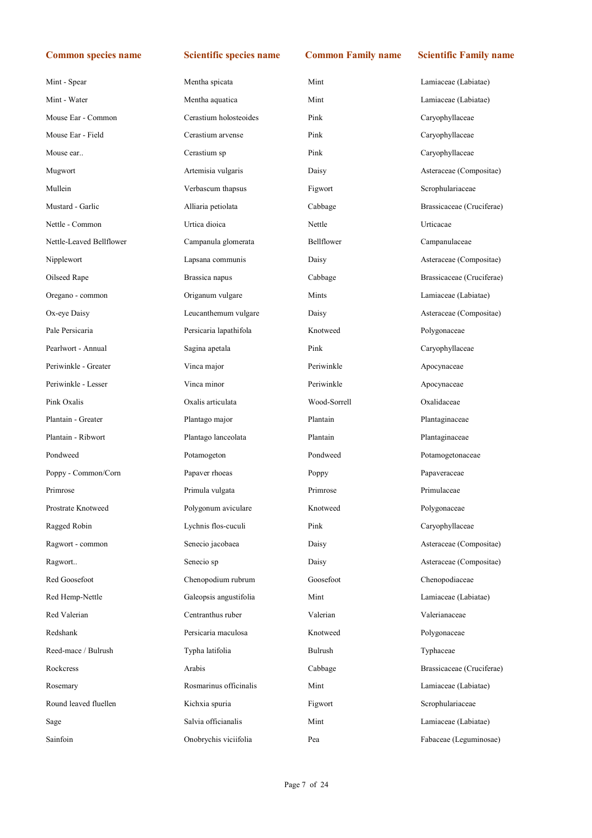| Mint - Spear             | Mentha spicata         | Mint         | Lamiaceae (Labiatae)      |
|--------------------------|------------------------|--------------|---------------------------|
| Mint - Water             | Mentha aquatica        | Mint         | Lamiaceae (Labiatae)      |
| Mouse Ear - Common       | Cerastium holosteoides | Pink         | Caryophyllaceae           |
| Mouse Ear - Field        | Cerastium arvense      | Pink         | Caryophyllaceae           |
| Mouse ear                | Cerastium sp           | Pink         | Caryophyllaceae           |
| Mugwort                  | Artemisia vulgaris     | Daisy        | Asteraceae (Compositae)   |
| Mullein                  | Verbascum thapsus      | Figwort      | Scrophulariaceae          |
| Mustard - Garlic         | Alliaria petiolata     | Cabbage      | Brassicaceae (Cruciferae) |
| Nettle - Common          | Urtica dioica          | Nettle       | Urticacae                 |
| Nettle-Leaved Bellflower | Campanula glomerata    | Bellflower   | Campanulaceae             |
| Nipplewort               | Lapsana communis       | Daisy        | Asteraceae (Compositae)   |
| Oilseed Rape             | Brassica napus         | Cabbage      | Brassicaceae (Cruciferae) |
| Oregano - common         | Origanum vulgare       | Mints        | Lamiaceae (Labiatae)      |
| Ox-eye Daisy             | Leucanthemum vulgare   | Daisy        | Asteraceae (Compositae)   |
| Pale Persicaria          | Persicaria lapathifola | Knotweed     | Polygonaceae              |
| Pearlwort - Annual       | Sagina apetala         | Pink         | Caryophyllaceae           |
| Periwinkle - Greater     | Vinca major            | Periwinkle   | Apocynaceae               |
| Periwinkle - Lesser      | Vinca minor            | Periwinkle   | Apocynaceae               |
| Pink Oxalis              | Oxalis articulata      | Wood-Sorrell | Oxalidaceae               |
| Plantain - Greater       | Plantago major         | Plantain     | Plantaginaceae            |
| Plantain - Ribwort       | Plantago lanceolata    | Plantain     | Plantaginaceae            |
| Pondweed                 | Potamogeton            | Pondweed     | Potamogetonaceae          |
| Poppy - Common/Corn      | Papaver rhoeas         | Poppy        | Papaveraceae              |
| Primrose                 | Primula vulgata        | Primrose     | Primulaceae               |
| Prostrate Knotweed       | Polygonum aviculare    | Knotweed     | Polygonaceae              |
| Ragged Robin             | Lychnis flos-cuculi    | Pink         | Caryophyllaceae           |
| Ragwort - common         | Senecio jacobaea       | Daisy        | Asteraceae (Compositae)   |
| Ragwort                  | Senecio sp             | Daisy        | Asteraceae (Compositae)   |
| Red Goosefoot            | Chenopodium rubrum     | Goosefoot    | Chenopodiaceae            |
| Red Hemp-Nettle          | Galeopsis angustifolia | Mint         | Lamiaceae (Labiatae)      |
| Red Valerian             | Centranthus ruber      | Valerian     | Valerianaceae             |
| Redshank                 | Persicaria maculosa    | Knotweed     | Polygonaceae              |
| Reed-mace / Bulrush      | Typha latifolia        | Bulrush      | Typhaceae                 |
| Rockcress                | Arabis                 | Cabbage      | Brassicaceae (Cruciferae) |
| Rosemary                 | Rosmarinus officinalis | Mint         | Lamiaceae (Labiatae)      |
| Round leaved fluellen    | Kichxia spuria         | Figwort      | Scrophulariaceae          |
|                          |                        |              |                           |
| Sage                     | Salvia officianalis    | Mint         | Lamiaceae (Labiatae)      |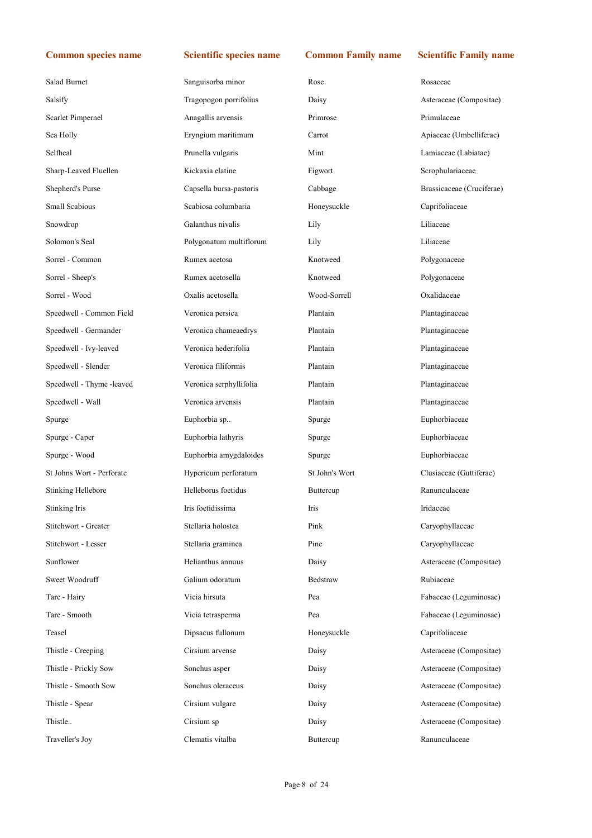Asteraceae (Compositae)

Apiaceae (Umbelliferae) Lamiaceae (Labiatae) Scrophulariaceae

Brassicaceae (Cruciferae)

Clusiaceae (Guttiferae)

 $Caryophyllaceae$ Caryophyllaceae

Asteraceae (Compositae)

Fabaceae (Leguminosae) Fabaceae (Leguminosae)

Asteraceae (Compositae) Asteraceae (Compositae) Asteraceae (Compositae) Asteraceae (Compositae) Asteraceae (Compositae)

| Salad Burnet              | Sanguisorba minor       | Rose           | Rosaceae        |
|---------------------------|-------------------------|----------------|-----------------|
| Salsify                   | Tragopogon porrifolius  | Daisy          | Asteraceae (Co: |
| Scarlet Pimpernel         | Anagallis arvensis      | Primrose       | Primulaceae     |
| Sea Holly                 | Eryngium maritimum      | Carrot         | Apiaceae (Umb   |
| Selfheal                  | Prunella vulgaris       | Mint           | Lamiaceae (Lab  |
| Sharp-Leaved Fluellen     | Kickaxia elatine        | Figwort        | Scrophulariacea |
| Shepherd's Purse          | Capsella bursa-pastoris | Cabbage        | Brassicaceae (C |
| Small Scabious            | Scabiosa columbaria     | Honeysuckle    | Caprifoliaceae  |
| Snowdrop                  | Galanthus nivalis       | Lily           | Liliaceae       |
| Solomon's Seal            | Polygonatum multiflorum | Lily           | Liliaceae       |
| Sorrel - Common           | Rumex acetosa           | Knotweed       | Polygonaceae    |
| Sorrel - Sheep's          | Rumex acetosella        | Knotweed       | Polygonaceae    |
| Sorrel - Wood             | Oxalis acetosella       | Wood-Sorrell   | Oxalidaceae     |
| Speedwell - Common Field  | Veronica persica        | Plantain       | Plantaginaceae  |
| Speedwell - Germander     | Veronica chameaedrys    | Plantain       | Plantaginaceae  |
| Speedwell - Ivy-leaved    | Veronica hederifolia    | Plantain       | Plantaginaceae  |
| Speedwell - Slender       | Veronica filiformis     | Plantain       | Plantaginaceae  |
| Speedwell - Thyme -leaved | Veronica serphyllifolia | Plantain       | Plantaginaceae  |
| Speedwell - Wall          | Veronica arvensis       | Plantain       | Plantaginaceae  |
| Spurge                    | Euphorbia sp            | Spurge         | Euphorbiaceae   |
| Spurge - Caper            | Euphorbia lathyris      | Spurge         | Euphorbiaceae   |
| Spurge - Wood             | Euphorbia amygdaloides  | Spurge         | Euphorbiaceae   |
| St Johns Wort - Perforate | Hypericum perforatum    | St John's Wort | Clusiaceae (Gu  |
| Stinking Hellebore        | Helleborus foetidus     | Buttercup      | Ranunculaceae   |
| Stinking Iris             | Iris foetidissima       | Iris           | Iridaceae       |
| Stitchwort - Greater      | Stellaria holostea      | Pink           | Caryophyllacea  |
| Stitchwort - Lesser       | Stellaria graminea      | Pine           | Caryophyllacea  |
| Sunflower                 | Helianthus annuus       | Daisy          | Asteraceae (Co: |
| Sweet Woodruff            | Galium odoratum         | Bedstraw       | Rubiaceae       |
| Tare - Hairy              | Vicia hirsuta           | Pea            | Fabaceae (Legu  |
| Tare - Smooth             | Vicia tetrasperma       | Pea            | Fabaceae (Legu  |
| Teasel                    | Dipsacus fullonum       | Honeysuckle    | Caprifoliaceae  |
| Thistle - Creeping        | Cirsium arvense         | Daisy          | Asteraceae (Co: |
| Thistle - Prickly Sow     | Sonchus asper           | Daisy          | Asteraceae (Co: |
| Thistle - Smooth Sow      | Sonchus oleraceus       | Daisy          | Asteraceae (Co: |
| Thistle - Spear           | Cirsium vulgare         | Daisy          | Asteraceae (Co: |
| Thistle                   | Cirsium sp              | Daisy          | Asteraceae (Co: |
| Traveller's Joy           | Clematis vitalba        | Buttercup      | Ranunculaceae   |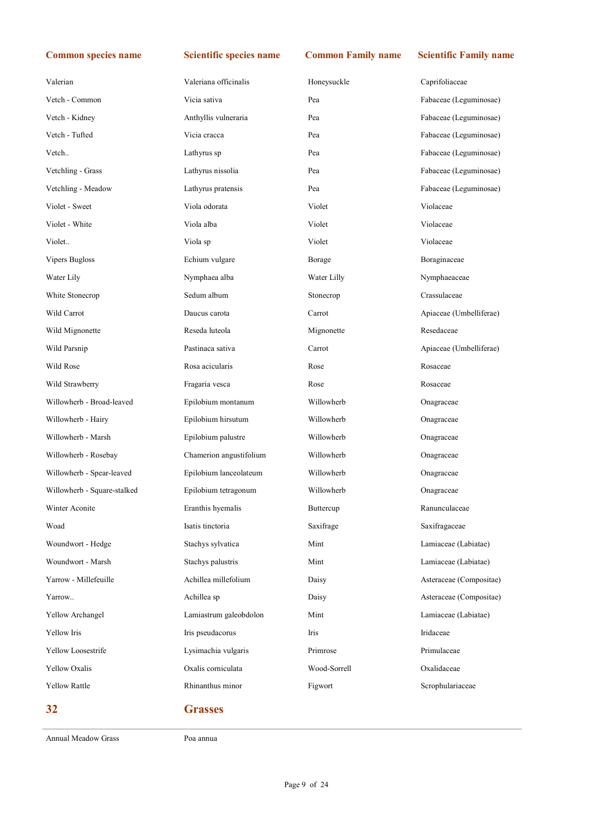| Valerian                    | Valeriana officinalis   | Honeysuckle  | Caprifoliaceae          |
|-----------------------------|-------------------------|--------------|-------------------------|
| Vetch - Common              | Vicia sativa            | Pea          | Fabaceae (Leguminosae)  |
| Vetch - Kidney              | Anthyllis vulneraria    | Pea          | Fabaceae (Leguminosae)  |
| Vetch - Tufted              | Vicia cracca            | Pea          | Fabaceae (Leguminosae)  |
| Vetch                       | Lathyrus sp             | Pea          | Fabaceae (Leguminosae)  |
| Vetchling - Grass           | Lathyrus nissolia       | Pea          | Fabaceae (Leguminosae)  |
| Vetchling - Meadow          | Lathyrus pratensis      | Pea          | Fabaceae (Leguminosae)  |
| Violet - Sweet              | Viola odorata           | Violet       | Violaceae               |
| Violet - White              | Viola alba              | Violet       | Violaceae               |
| Violet                      | Viola sp                | Violet       | Violaceae               |
| Vipers Bugloss              | Echium vulgare          | Borage       | Boraginaceae            |
| Water Lily                  | Nymphaea alba           | Water Lilly  | Nymphaeaceae            |
| White Stonecrop             | Sedum album             | Stonecrop    | Crassulaceae            |
| Wild Carrot                 | Daucus carota           | Carrot       | Apiaceae (Umbelliferae) |
| Wild Mignonette             | Reseda luteola          | Mignonette   | Resedaceae              |
| Wild Parsnip                | Pastinaca sativa        | Carrot       | Apiaceae (Umbelliferae) |
| Wild Rose                   | Rosa acicularis         | Rose         | Rosaceae                |
| Wild Strawberry             | Fragaria vesca          | Rose         | Rosaceae                |
| Willowherb - Broad-leaved   | Epilobium montanum      | Willowherb   | Onagraceae              |
| Willowherb - Hairy          | Epilobium hirsutum      | Willowherb   | Onagraceae              |
| Willowherb - Marsh          | Epilobium palustre      | Willowherb   | Onagraceae              |
| Willowherb - Rosebay        | Chamerion angustifolium | Willowherb   | Onagraceae              |
| Willowherb - Spear-leaved   | Epilobium lanceolateum  | Willowherb   | Onagraceae              |
| Willowherb - Square-stalked | Epilobium tetragonum    | Willowherb   | Onagraceae              |
| Winter Aconite              | Eranthis hyemalis       | Buttercup    | Ranunculaceae           |
| Woad                        | Isatis tinctoria        | Saxifrage    | Saxifragaceae           |
| Woundwort - Hedge           | Stachys sylvatica       | Mint         | Lamiaceae (Labiatae)    |
| Woundwort - Marsh           | Stachys palustris       | Mint         | Lamiaceae (Labiatae)    |
| Yarrow - Millefeuille       | Achillea millefolium    | Daisy        | Asteraceae (Compositae) |
| Yarrow                      | Achillea sp             | Daisy        | Asteraceae (Compositae) |
| Yellow Archangel            | Lamiastrum galeobdolon  | Mint         | Lamiaceae (Labiatae)    |
| Yellow Iris                 | Iris pseudacorus        | Iris         | Iridaceae               |
| Yellow Loosestrife          | Lysimachia vulgaris     | Primrose     | Primulaceae             |
| <b>Yellow Oxalis</b>        | Oxalis corniculata      | Wood-Sorrell | Oxalidaceae             |
| <b>Yellow Rattle</b>        | Rhinanthus minor        | Figwort      | Scrophulariaceae        |
| 32                          | <b>Grasses</b>          |              |                         |

Annual Meadow Grass Poa annua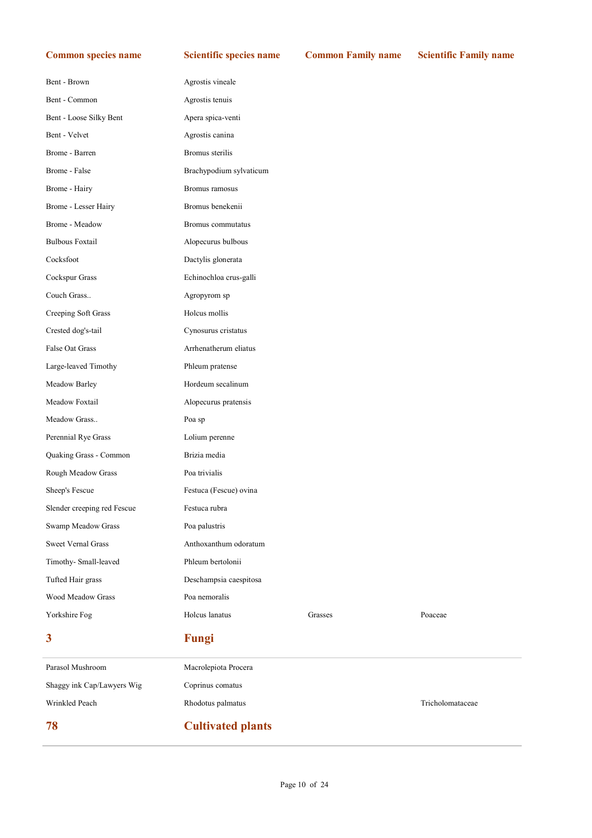| 78                          | <b>Cultivated plants</b> |         |                  |
|-----------------------------|--------------------------|---------|------------------|
| Wrinkled Peach              | Rhodotus palmatus        |         | Tricholomataceae |
| Shaggy ink Cap/Lawyers Wig  | Coprinus comatus         |         |                  |
| Parasol Mushroom            | Macrolepiota Procera     |         |                  |
| 3                           | <b>Fungi</b>             |         |                  |
| Yorkshire Fog               | Holcus lanatus           | Grasses | Poaceae          |
| <b>Wood Meadow Grass</b>    | Poa nemoralis            |         |                  |
| Tufted Hair grass           | Deschampsia caespitosa   |         |                  |
| Timothy- Small-leaved       | Phleum bertolonii        |         |                  |
| <b>Sweet Vernal Grass</b>   | Anthoxanthum odoratum    |         |                  |
| Swamp Meadow Grass          | Poa palustris            |         |                  |
| Slender creeping red Fescue | Festuca rubra            |         |                  |
| Sheep's Fescue              | Festuca (Fescue) ovina   |         |                  |
| Rough Meadow Grass          | Poa trivialis            |         |                  |
| Quaking Grass - Common      | Brizia media             |         |                  |
| Perennial Rye Grass         | Lolium perenne           |         |                  |
| Meadow Grass                | Poa sp                   |         |                  |
| Meadow Foxtail              | Alopecurus pratensis     |         |                  |
| Meadow Barley               | Hordeum secalinum        |         |                  |
| Large-leaved Timothy        | Phleum pratense          |         |                  |
| False Oat Grass             | Arrhenatherum eliatus    |         |                  |
| Crested dog's-tail          | Cynosurus cristatus      |         |                  |
| Creeping Soft Grass         | Holcus mollis            |         |                  |
| Couch Grass                 | Agropyrom sp             |         |                  |
| Cockspur Grass              | Echinochloa crus-galli   |         |                  |
| Cocksfoot                   | Dactylis glonerata       |         |                  |
| <b>Bulbous Foxtail</b>      | Alopecurus bulbous       |         |                  |
| Brome - Meadow              | Bromus commutatus        |         |                  |
| Brome - Lesser Hairy        | Bromus benekenii         |         |                  |
| Brome - Hairy               | Bromus ramosus           |         |                  |
| Brome - False               | Brachypodium sylvaticum  |         |                  |
| Brome - Barren              | Bromus sterilis          |         |                  |
| Bent - Velvet               | Agrostis canina          |         |                  |
| Bent - Loose Silky Bent     | Apera spica-venti        |         |                  |
| Bent - Common               | Agrostis tenuis          |         |                  |
| Bent - Brown                | Agrostis vineale         |         |                  |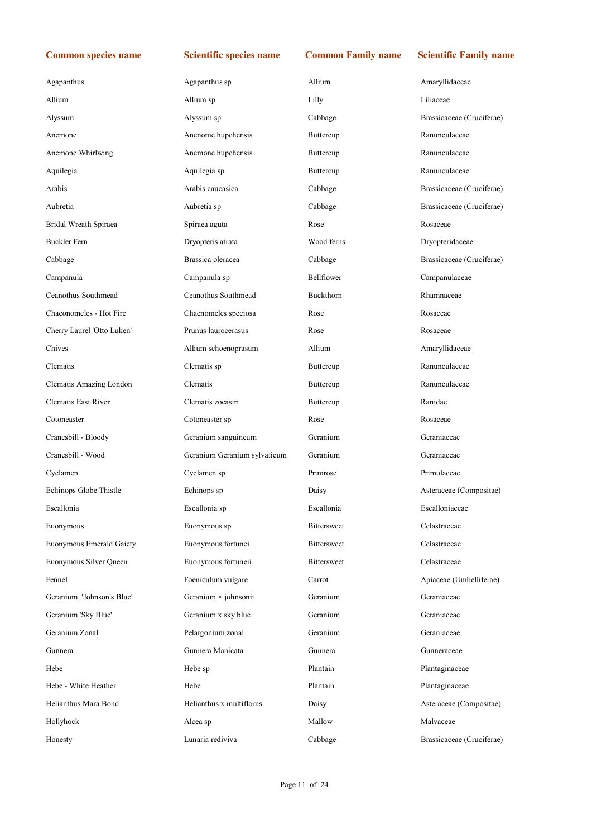| Agapanthus                 | Agapanthus sp                | Allium             | Amaryllidaceae            |
|----------------------------|------------------------------|--------------------|---------------------------|
| Allium                     | Allium sp                    | Lilly              | Liliaceae                 |
| Alyssum                    | Alyssum sp                   | Cabbage            | Brassicaceae (Cruciferae) |
| Anemone                    | Anenome hupehensis           | Buttercup          | Ranunculaceae             |
| Anemone Whirlwing          | Anemone hupehensis           | Buttercup          | Ranunculaceae             |
| Aquilegia                  | Aquilegia sp                 | Buttercup          | Ranunculaceae             |
| Arabis                     | Arabis caucasica             | Cabbage            | Brassicaceae (Cruciferae) |
| Aubretia                   | Aubretia sp                  | Cabbage            | Brassicaceae (Cruciferae) |
| Bridal Wreath Spiraea      | Spiraea aguta                | Rose               | Rosaceae                  |
| <b>Buckler Fern</b>        | Dryopteris atrata            | Wood ferns         | Dryopteridaceae           |
| Cabbage                    | Brassica oleracea            | Cabbage            | Brassicaceae (Cruciferae) |
| Campanula                  | Campanula sp                 | Bellflower         | Campanulaceae             |
| Ceanothus Southmead        | Ceanothus Southmead          | Buckthorn          | Rhamnaceae                |
| Chaeonomeles - Hot Fire    | Chaenomeles speciosa         | Rose               | Rosaceae                  |
| Cherry Laurel 'Otto Luken' | Prunus laurocerasus          | Rose               | Rosaceae                  |
| Chives                     | Allium schoenoprasum         | Allium             | Amaryllidaceae            |
| Clematis                   | Clematis sp                  | Buttercup          | Ranunculaceae             |
| Clematis Amazing London    | Clematis                     | Buttercup          | Ranunculaceae             |
| <b>Clematis East River</b> | Clematis zoeastri            | Buttercup          | Ranidae                   |
| Cotoneaster                | Cotoneaster sp               | Rose               | Rosaceae                  |
| Cranesbill - Bloody        | Geranium sanguineum          | Geranium           | Geraniaceae               |
| Cranesbill - Wood          | Geranium Geranium sylvaticum | Geranium           | Geraniaceae               |
| Cyclamen                   | Cyclamen sp                  | Primrose           | Primulaceae               |
| Echinops Globe Thistle     | Echinops sp                  | Daisy              | Asteraceae (Compositae)   |
| Escallonia                 | Escallonia sp                | Escallonia         | Escalloniaceae            |
| Euonymous                  | Euonymous sp                 | Bittersweet        | Celastraceae              |
| Euonymous Emerald Gaiety   | Euonymous fortunei           | Bittersweet        | Celastraceae              |
| Euonymous Silver Queen     | Euonymous fortuneii          | <b>Bittersweet</b> | Celastraceae              |
| Fennel                     | Foeniculum vulgare           | Carrot             | Apiaceae (Umbelliferae)   |
| Geranium 'Johnson's Blue'  | Geranium × johnsonii         | Geranium           | Geraniaceae               |
| Geranium 'Sky Blue'        | Geranium x sky blue          | Geranium           | Geraniaceae               |
| Geranium Zonal             | Pelargonium zonal            | Geranium           | Geraniaceae               |
| Gunnera                    | Gunnera Manicata             | Gunnera            | Gunneraceae               |
| Hebe                       | Hebe sp                      | Plantain           | Plantaginaceae            |
| Hebe - White Heather       | Hebe                         | Plantain           | Plantaginaceae            |
| Helianthus Mara Bond       | Helianthus x multiflorus     | Daisy              | Asteraceae (Compositae)   |
| Hollyhock                  | Alcea sp                     | Mallow             | Malvaceae                 |
| Honesty                    | Lunaria rediviva             | Cabbage            | Brassicaceae (Cruciferae) |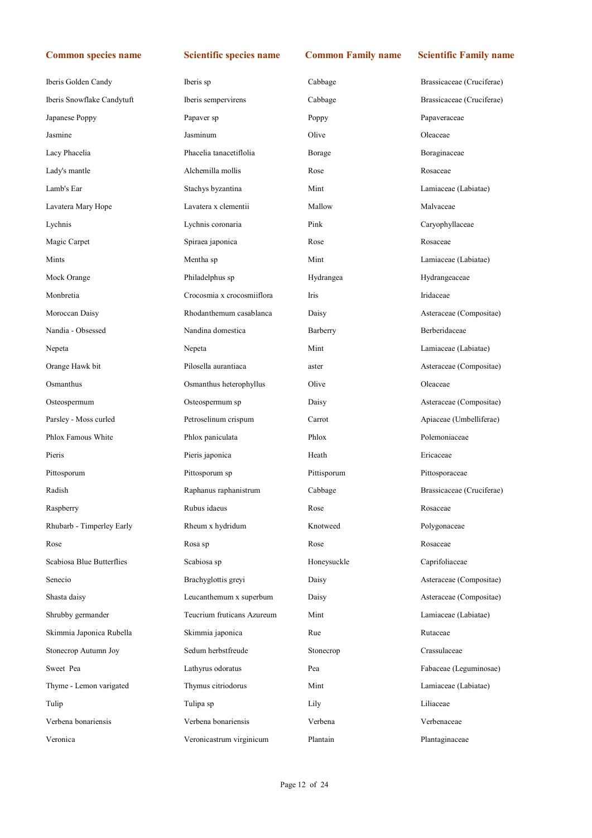| Iberis Golden Candy        | Iberis sp                  | Cabbage     | Brassicaceae (Cruciferae) |
|----------------------------|----------------------------|-------------|---------------------------|
| Iberis Snowflake Candytuft | Iberis sempervirens        | Cabbage     | Brassicaceae (Cruciferae) |
| Japanese Poppy             | Papaver sp                 | Poppy       | Papaveraceae              |
| Jasmine                    | Jasminum                   | Olive       | Oleaceae                  |
| Lacy Phacelia              | Phacelia tanacetiflolia    | Borage      | Boraginaceae              |
| Lady's mantle              | Alchemilla mollis          | Rose        | Rosaceae                  |
| Lamb's Ear                 | Stachys byzantina          | Mint        | Lamiaceae (Labiatae)      |
| Lavatera Mary Hope         | Lavatera x clementii       | Mallow      | Malvaceae                 |
| Lychnis                    | Lychnis coronaria          | Pink        | Caryophyllaceae           |
| Magic Carpet               | Spiraea japonica           | Rose        | Rosaceae                  |
| Mints                      | Mentha sp                  | Mint        | Lamiaceae (Labiatae)      |
| Mock Orange                | Philadelphus sp            | Hydrangea   | Hydrangeaceae             |
| Monbretia                  | Crocosmia x crocosmiiflora | Iris        | Iridaceae                 |
| Moroccan Daisy             | Rhodanthemum casablanca    | Daisy       | Asteraceae (Compositae)   |
| Nandia - Obsessed          | Nandina domestica          | Barberry    | Berberidaceae             |
| Nepeta                     | Nepeta                     | Mint        | Lamiaceae (Labiatae)      |
| Orange Hawk bit            | Pilosella aurantiaca       | aster       | Asteraceae (Compositae)   |
| Osmanthus                  | Osmanthus heterophyllus    | Olive       | Oleaceae                  |
| Osteospermum               | Osteospermum sp            | Daisy       | Asteraceae (Compositae)   |
| Parsley - Moss curled      | Petroselinum crispum       | Carrot      | Apiaceae (Umbelliferae)   |
| Phlox Famous White         | Phlox paniculata           | Phlox       | Polemoniaceae             |
| Pieris                     | Pieris japonica            | Heath       | Ericaceae                 |
| Pittosporum                | Pittosporum sp             | Pittisporum | Pittosporaceae            |
| Radish                     | Raphanus raphanistrum      | Cabbage     | Brassicaceae (Cruciferae) |
| Raspberry                  | Rubus idaeus               | Rose        | Rosaceae                  |
| Rhubarb - Timperley Early  | Rheum x hydridum           | Knotweed    | Polygonaceae              |
| Rose                       | Rosa sp                    | Rose        | Rosaceae                  |
| Scabiosa Blue Butterflies  | Scabiosa sp                | Honeysuckle | Caprifoliaceae            |
| Senecio                    | Brachyglottis greyi        | Daisy       | Asteraceae (Compositae)   |
| Shasta daisy               | Leucanthemum x superbum    | Daisy       | Asteraceae (Compositae)   |
| Shrubby germander          | Teucrium fruticans Azureum | Mint        | Lamiaceae (Labiatae)      |
| Skimmia Japonica Rubella   | Skimmia japonica           | Rue         | Rutaceae                  |
| Stonecrop Autumn Joy       | Sedum herbstfreude         | Stonecrop   | Crassulaceae              |
| Sweet Pea                  | Lathyrus odoratus          | Pea         | Fabaceae (Leguminosae)    |
| Thyme - Lemon varigated    | Thymus citriodorus         | Mint        | Lamiaceae (Labiatae)      |
| Tulip                      | Tulipa sp                  | Lily        | Liliaceae                 |
| Verbena bonariensis        | Verbena bonariensis        | Verbena     | Verbenaceae               |
| Veronica                   | Veronicastrum virginicum   | Plantain    | Plantaginaceae            |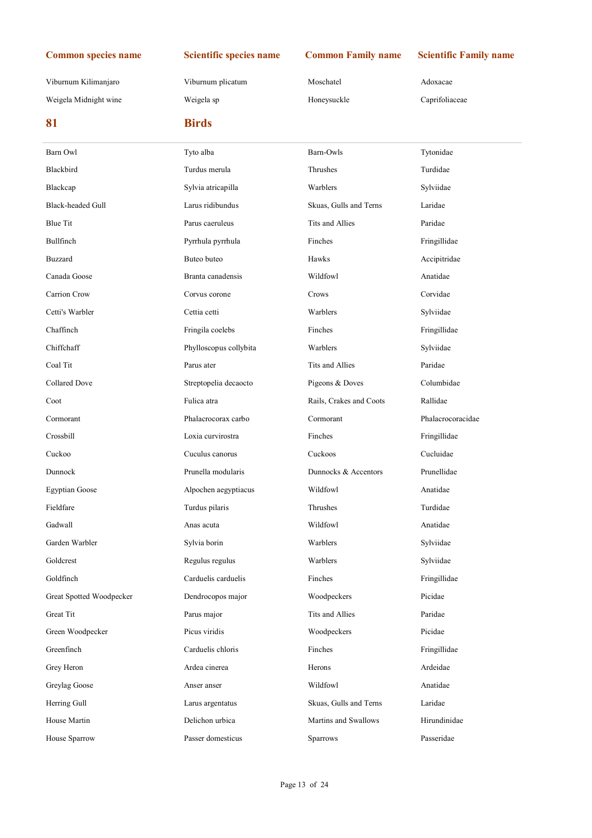Viburnum Kilimanjaro Viburnum plicatum Moschatel Adoxacae Weigela Midnight wine Weigela sp Weigela sp Honeysuckle Caprifoliaceae

| 81                       | <b>Birds</b>           |                         |                   |
|--------------------------|------------------------|-------------------------|-------------------|
| Barn Owl                 | Tyto alba              | Barn-Owls               | Tytonidae         |
| Blackbird                | Turdus merula          | Thrushes                | Turdidae          |
| Blackcap                 | Sylvia atricapilla     | Warblers                | Sylviidae         |
| Black-headed Gull        | Larus ridibundus       | Skuas, Gulls and Terns  | Laridae           |
| <b>Blue Tit</b>          | Parus caeruleus        | Tits and Allies         | Paridae           |
| Bullfinch                | Pyrrhula pyrrhula      | Finches                 | Fringillidae      |
| <b>Buzzard</b>           | Buteo buteo            | Hawks                   | Accipitridae      |
| Canada Goose             | Branta canadensis      | Wildfowl                | Anatidae          |
| Carrion Crow             | Corvus corone          | Crows                   | Corvidae          |
| Cetti's Warbler          | Cettia cetti           | Warblers                | Sylviidae         |
| Chaffinch                | Fringila coelebs       | Finches                 | Fringillidae      |
| Chiffchaff               | Phylloscopus collybita | Warblers                | Sylviidae         |
| Coal Tit                 | Parus ater             | Tits and Allies         | Paridae           |
| <b>Collared Dove</b>     | Streptopelia decaocto  | Pigeons & Doves         | Columbidae        |
| Coot                     | Fulica atra            | Rails, Crakes and Coots | Rallidae          |
| Cormorant                | Phalacrocorax carbo    | Cormorant               | Phalacrocoracidae |
| Crossbill                | Loxia curvirostra      | Finches                 | Fringillidae      |
| Cuckoo                   | Cuculus canorus        | Cuckoos                 | Cucluidae         |
| Dunnock                  | Prunella modularis     | Dunnocks & Accentors    | Prunellidae       |
| <b>Egyptian Goose</b>    | Alpochen aegyptiacus   | Wildfowl                | Anatidae          |
| Fieldfare                | Turdus pilaris         | Thrushes                | Turdidae          |
| Gadwall                  | Anas acuta             | Wildfowl                | Anatidae          |
| Garden Warbler           | Sylvia borin           | Warblers                | Sylviidae         |
| Goldcrest                | Regulus regulus        | Warblers                | Sylviidae         |
| Goldfinch                | Carduelis carduelis    | Finches                 | Fringillidae      |
| Great Spotted Woodpecker | Dendrocopos major      | Woodpeckers             | Picidae           |
| Great Tit                | Parus major            | Tits and Allies         | Paridae           |
| Green Woodpecker         | Picus viridis          | Woodpeckers             | Picidae           |
| Greenfinch               | Carduelis chloris      | Finches                 | Fringillidae      |
| Grey Heron               | Ardea cinerea          | Herons                  | Ardeidae          |
| Greylag Goose            | Anser anser            | Wildfowl                | Anatidae          |
| Herring Gull             | Larus argentatus       | Skuas, Gulls and Terns  | Laridae           |
| House Martin             | Delichon urbica        | Martins and Swallows    | Hirundinidae      |
| House Sparrow            | Passer domesticus      | Sparrows                | Passeridae        |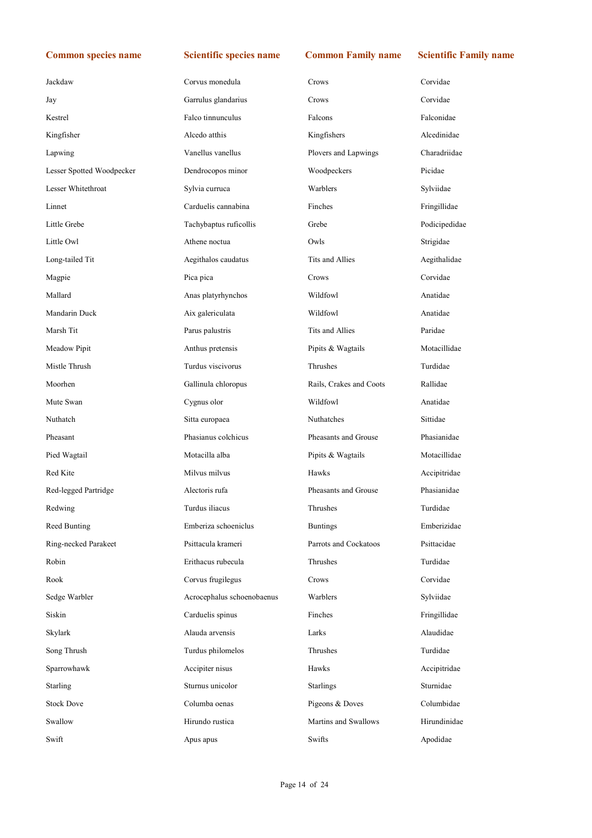| Jackdaw                   | Corvus monedula            | Crows                   | Corvidae      |
|---------------------------|----------------------------|-------------------------|---------------|
| Jay                       | Garrulus glandarius        | Crows                   | Corvidae      |
| Kestrel                   | Falco tinnunculus          | Falcons                 | Falconidae    |
| Kingfisher                | Alcedo atthis              | Kingfishers             | Alcedinidae   |
| Lapwing                   | Vanellus vanellus          | Plovers and Lapwings    | Charadriidae  |
| Lesser Spotted Woodpecker | Dendrocopos minor          | Woodpeckers             | Picidae       |
| Lesser Whitethroat        | Sylvia curruca             | Warblers                | Sylviidae     |
| Linnet                    | Carduelis cannabina        | Finches                 | Fringillidae  |
| Little Grebe              | Tachybaptus ruficollis     | Grebe                   | Podicipedidae |
| Little Owl                | Athene noctua              | Owls                    | Strigidae     |
| Long-tailed Tit           | Aegithalos caudatus        | Tits and Allies         | Aegithalidae  |
| Magpie                    | Pica pica                  | Crows                   | Corvidae      |
| Mallard                   | Anas platyrhynchos         | Wildfowl                | Anatidae      |
| Mandarin Duck             | Aix galericulata           | Wildfowl                | Anatidae      |
| Marsh Tit                 | Parus palustris            | Tits and Allies         | Paridae       |
| Meadow Pipit              | Anthus pretensis           | Pipits & Wagtails       | Motacillidae  |
| Mistle Thrush             | Turdus viscivorus          | Thrushes                | Turdidae      |
| Moorhen                   | Gallinula chloropus        | Rails, Crakes and Coots | Rallidae      |
| Mute Swan                 | Cygnus olor                | Wildfowl                | Anatidae      |
| Nuthatch                  | Sitta europaea             | Nuthatches              | Sittidae      |
| Pheasant                  | Phasianus colchicus        | Pheasants and Grouse    | Phasianidae   |
| Pied Wagtail              | Motacilla alba             | Pipits & Wagtails       | Motacillidae  |
| Red Kite                  | Milvus milvus              | Hawks                   | Accipitridae  |
| Red-legged Partridge      | Alectoris rufa             | Pheasants and Grouse    | Phasianidae   |
| Redwing                   | Turdus iliacus             | Thrushes                | Turdidae      |
| Reed Bunting              | Emberiza schoeniclus       | <b>Buntings</b>         | Emberizidae   |
| Ring-necked Parakeet      | Psittacula krameri         | Parrots and Cockatoos   | Psittacidae   |
| Robin                     | Erithacus rubecula         | Thrushes                | Turdidae      |
| Rook                      | Corvus frugilegus          | Crows                   | Corvidae      |
| Sedge Warbler             | Acrocephalus schoenobaenus | Warblers                | Sylviidae     |
| Siskin                    | Carduelis spinus           | Finches                 | Fringillidae  |
| Skylark                   | Alauda arvensis            | Larks                   | Alaudidae     |
| Song Thrush               | Turdus philomelos          | Thrushes                | Turdidae      |
| Sparrowhawk               | Accipiter nisus            | Hawks                   | Accipitridae  |
| Starling                  | Sturnus unicolor           | <b>Starlings</b>        | Sturnidae     |
| <b>Stock Dove</b>         | Columba oenas              | Pigeons & Doves         | Columbidae    |
| Swallow                   | Hirundo rustica            | Martins and Swallows    | Hirundinidae  |
| Swift                     | Apus apus                  | Swifts                  | Apodidae      |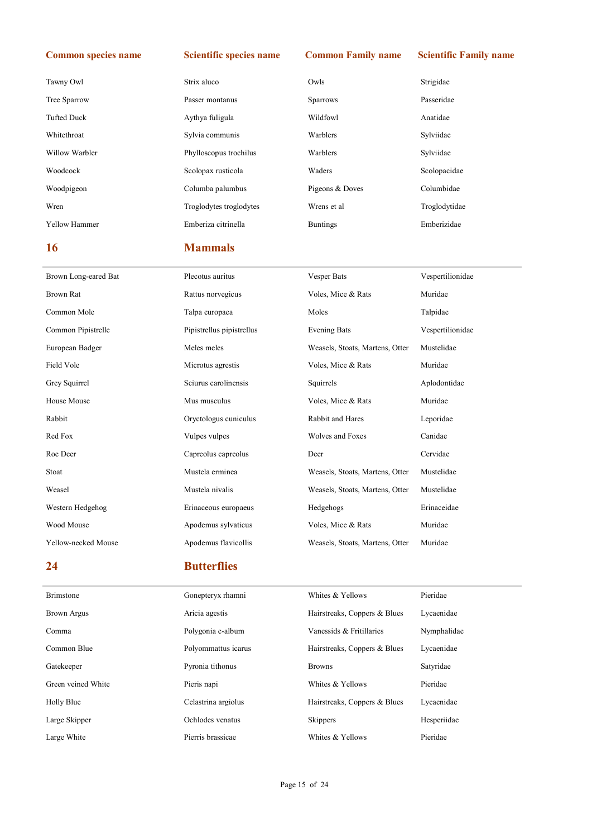| Tawny Owl            | Strix aluco             | Owls            | Strigidae     |
|----------------------|-------------------------|-----------------|---------------|
| Tree Sparrow         | Passer montanus         | <b>Sparrows</b> | Passeridae    |
| <b>Tufted Duck</b>   | Aythya fuligula         | Wildfowl        | Anatidae      |
| Whitethroat          | Sylvia communis         | Warblers        | Sylviidae     |
| Willow Warbler       | Phylloscopus trochilus  | Warblers        | Sylviidae     |
| Woodcock             | Scolopax rusticola      | Waders          | Scolopacidae  |
| Woodpigeon           | Columba palumbus        | Pigeons & Doves | Columbidae    |
| Wren                 | Troglodytes troglodytes | Wrens et al     | Troglodytidae |
| <b>Yellow Hammer</b> | Emberiza citrinella     | <b>Buntings</b> | Emberizidae   |

### 16 Mammals

# Brown Long-eared Bat Plecotus auritus Vesper Bats Vespertilionidae Brown Rat Rattus norvegicus Voles, Mice & Rats Muridae Common Mole Talpa europaea Moles Talpidae Common Pipistrelle Pipistrellus pipistrellus Evening Bats Vespertilionidae European Badger Meles meles Weasels, Stoats, Martens, Otter Mustelidae Field Vole **Microtus agrestis** Voles, Mice & Rats Muridae Muridae Grey Squirrel Sciurus carolinensis Squirrels Aplodontidae House Mouse **Musical Musical Musical Musical Musical Musical Musical Musical Musical Musical Musical Musical Musical Musical Musical Musical Musical Musical Musical Musical Musical Musical Musical Musical Musical Musical M** Rabbit Oryctologus cuniculus Rabbit and Hares Leporidae Red Fox Canidae Community Culpes Vulpes Vulpes Wolves and Foxes Canidae Roe Deer Capreolus capreolus capreolus Deer Cervidae Stoat Mustela erminea Weasels, Stoats, Martens, Otter Mustelidae Weasel Mustela nivalis Weasels, Stoats, Martens, Otter Mustelidae Western Hedgehog **Erinaceidae** Erinaceous europaeus Hedgehogs **Erinaceidae** Erinaceidae Wood Mouse Apodemus sylvaticus Voles, Mice & Rats Muridae Yellow-necked Mouse Apodemus flavicollis Weasels, Stoats, Martens, Otter Muridae

### 24 Butterflies

| <b>Brimstone</b>   | Gonepteryx rhamni   | Whites & Yellows             | Pieridae    |
|--------------------|---------------------|------------------------------|-------------|
| <b>Brown Argus</b> | Aricia agestis      | Hairstreaks, Coppers & Blues | Lycaenidae  |
| Comma              | Polygonia c-album   | Vanessids & Fritillaries     | Nymphalidae |
| Common Blue        | Polyommattus icarus | Hairstreaks, Coppers & Blues | Lycaenidae  |
| Gatekeeper         | Pyronia tithonus    | <b>Browns</b>                | Satyridae   |
| Green veined White | Pieris napi         | Whites & Yellows             | Pieridae    |
| Holly Blue         | Celastrina argiolus | Hairstreaks, Coppers & Blues | Lycaenidae  |
| Large Skipper      | Ochlodes venatus    | <b>Skippers</b>              | Hesperiidae |
| Large White        | Pierris brassicae   | Whites & Yellows             | Pieridae    |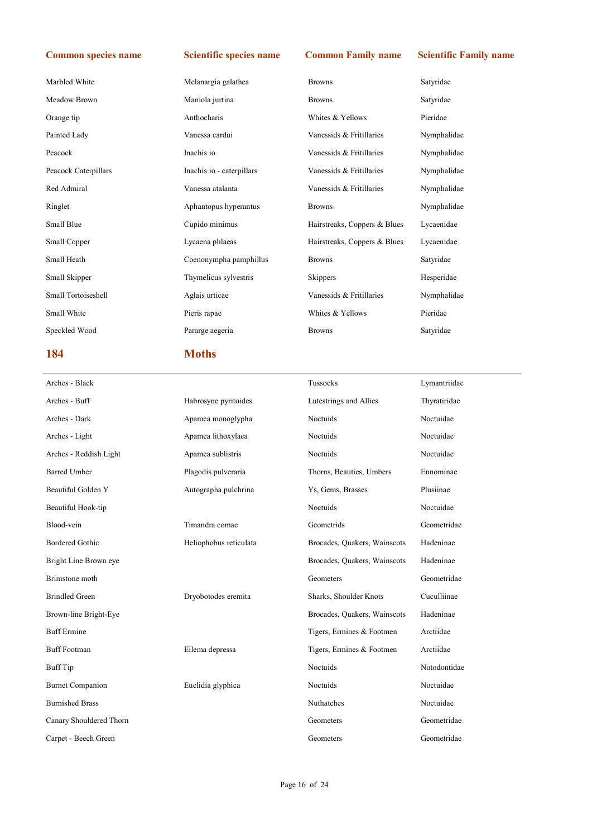| 184                  | <b>Moths</b>              |                              |             |
|----------------------|---------------------------|------------------------------|-------------|
| Speckled Wood        | Pararge aegeria           | <b>Browns</b>                | Satyridae   |
| Small White          | Pieris rapae              | Whites & Yellows             | Pieridae    |
| Small Tortoiseshell  | Aglais urticae            | Vanessids & Fritillaries     | Nymphalidae |
| Small Skipper        | Thymelicus sylvestris     | Skippers                     | Hesperidae  |
| Small Heath          | Coenonympha pamphillus    | <b>Browns</b>                | Satyridae   |
| Small Copper         | Lycaena phlaeas           | Hairstreaks, Coppers & Blues | Lycaenidae  |
| Small Blue           | Cupido minimus            | Hairstreaks, Coppers & Blues | Lycaenidae  |
| Ringlet              | Aphantopus hyperantus     | <b>Browns</b>                | Nymphalidae |
| Red Admiral          | Vanessa atalanta          | Vanessids & Fritillaries     | Nymphalidae |
| Peacock Caterpillars | Inachis io - caterpillars | Vanessids & Fritillaries     | Nymphalidae |
| Peacock              | Inachis io                | Vanessids & Fritillaries     | Nymphalidae |
| Painted Lady         | Vanessa cardui            | Vanessids & Fritillaries     | Nymphalidae |
| Orange tip           | Anthocharis               | Whites & Yellows             | Pieridae    |
| Meadow Brown         | Maniola jurtina           | <b>Browns</b>                | Satyridae   |
| Marbled White        | Melanargia galathea       | <b>Browns</b>                | Satyridae   |

| Arches - Black          |                        | Tussocks                     | Lymantriidae |
|-------------------------|------------------------|------------------------------|--------------|
| Arches - Buff           | Habrosyne pyritoides   | Lutestrings and Allies       | Thyratiridae |
| Arches - Dark           | Apamea monoglypha      | Noctuids                     | Noctuidae    |
| Arches - Light          | Apamea lithoxylaea     | Noctuids                     | Noctuidae    |
| Arches - Reddish Light  | Apamea sublistris      | Noctuids                     | Noctuidae    |
| <b>Barred Umber</b>     | Plagodis pulveraria    | Thorns, Beauties, Umbers     | Ennominae    |
| Beautiful Golden Y      | Autographa pulchrina   | Ys, Gems, Brasses            | Plusiinae    |
| Beautiful Hook-tip      |                        | Noctuids                     | Noctuidae    |
| Blood-vein              | Timandra comae         | Geometrids                   | Geometridae  |
| <b>Bordered Gothic</b>  | Heliophobus reticulata | Brocades, Quakers, Wainscots | Hadeninae    |
| Bright Line Brown eye   |                        | Brocades, Quakers, Wainscots | Hadeninae    |
| Brimstone moth          |                        | Geometers                    | Geometridae  |
| <b>Brindled Green</b>   | Dryobotodes eremita    | Sharks, Shoulder Knots       | Cuculliinae  |
| Brown-line Bright-Eye   |                        | Brocades, Quakers, Wainscots | Hadeninae    |
| <b>Buff</b> Ermine      |                        | Tigers, Ermines & Footmen    | Arctiidae    |
| <b>Buff Footman</b>     | Eilema depressa        | Tigers, Ermines & Footmen    | Arctiidae    |
| <b>Buff</b> Tip         |                        | Noctuids                     | Notodontidae |
| <b>Burnet Companion</b> | Euclidia glyphica      | Noctuids                     | Noctuidae    |
| <b>Burnished Brass</b>  |                        | Nuthatches                   | Noctuidae    |
| Canary Shouldered Thorn |                        | Geometers                    | Geometridae  |
| Carpet - Beech Green    |                        | Geometers                    | Geometridae  |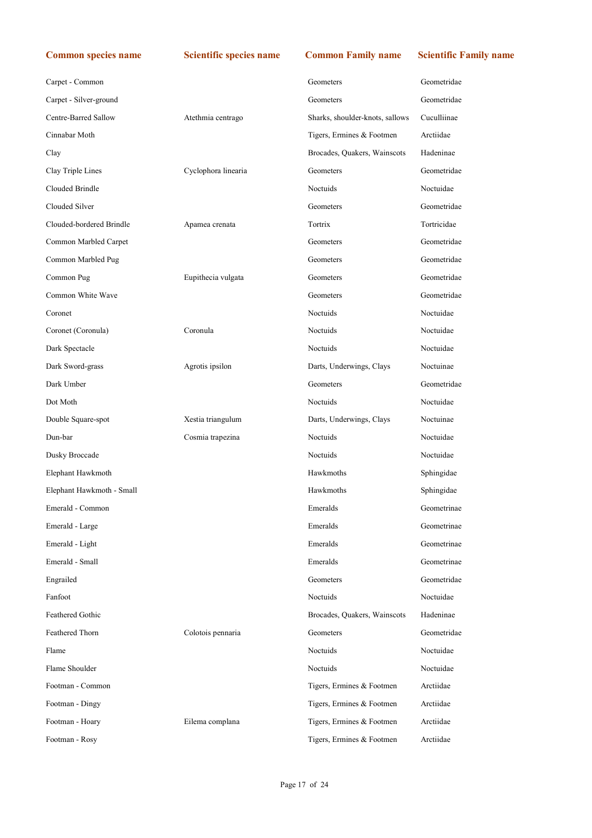| <b>Common species name</b> | <b>Scientific species name</b> | <b>Common Family name</b>       | <b>Scientific Family name</b> |
|----------------------------|--------------------------------|---------------------------------|-------------------------------|
| Carpet - Common            |                                | Geometers                       | Geometridae                   |
| Carpet - Silver-ground     |                                | Geometers                       | Geometridae                   |
| Centre-Barred Sallow       | Atethmia centrago              | Sharks, shoulder-knots, sallows | Cuculliinae                   |
| Cinnabar Moth              |                                | Tigers, Ermines & Footmen       | Arctiidae                     |
| Clay                       |                                | Brocades, Quakers, Wainscots    | Hadeninae                     |
| Clay Triple Lines          | Cyclophora linearia            | Geometers                       | Geometridae                   |
| Clouded Brindle            |                                | Noctuids                        | Noctuidae                     |
| Clouded Silver             |                                | Geometers                       | Geometridae                   |
| Clouded-bordered Brindle   | Apamea crenata                 | Tortrix                         | Tortricidae                   |
| Common Marbled Carpet      |                                | Geometers                       | Geometridae                   |
| Common Marbled Pug         |                                | Geometers                       | Geometridae                   |
| Common Pug                 | Eupithecia vulgata             | Geometers                       | Geometridae                   |
| Common White Wave          |                                | Geometers                       | Geometridae                   |
| Coronet                    |                                | Noctuids                        | Noctuidae                     |
| Coronet (Coronula)         | Coronula                       | Noctuids                        | Noctuidae                     |
| Dark Spectacle             |                                | Noctuids                        | Noctuidae                     |
| Dark Sword-grass           | Agrotis ipsilon                | Darts, Underwings, Clays        | Noctuinae                     |
| Dark Umber                 |                                | Geometers                       | Geometridae                   |
| Dot Moth                   |                                | Noctuids                        | Noctuidae                     |
| Double Square-spot         | Xestia triangulum              | Darts, Underwings, Clays        | Noctuinae                     |
| Dun-bar                    | Cosmia trapezina               | Noctuids                        | Noctuidae                     |
| Dusky Broccade             |                                | Noctuids                        | Noctuidae                     |
| Elephant Hawkmoth          |                                | Hawkmoths                       | Sphingidae                    |
| Elephant Hawkmoth - Small  |                                | Hawkmoths                       | Sphingidae                    |
| Emerald - Common           |                                | Emeralds                        | Geometrinae                   |
| Emerald - Large            |                                | Emeralds                        | Geometrinae                   |
| Emerald - Light            |                                | Emeralds                        | Geometrinae                   |
| Emerald - Small            |                                | Emeralds                        | Geometrinae                   |
| Engrailed                  |                                | Geometers                       | Geometridae                   |
| Fanfoot                    |                                | Noctuids                        | Noctuidae                     |
| Feathered Gothic           |                                | Brocades, Quakers, Wainscots    | Hadeninae                     |
| Feathered Thorn            | Colotois pennaria              | Geometers                       | Geometridae                   |
| Flame                      |                                | Noctuids                        | Noctuidae                     |
| Flame Shoulder             |                                | Noctuids                        | Noctuidae                     |
| Footman - Common           |                                | Tigers, Ermines & Footmen       | Arctiidae                     |
| Footman - Dingy            |                                | Tigers, Ermines & Footmen       | Arctiidae                     |
| Footman - Hoary            | Eilema complana                | Tigers, Ermines & Footmen       | Arctiidae                     |
| Footman - Rosy             |                                | Tigers, Ermines & Footmen       | Arctiidae                     |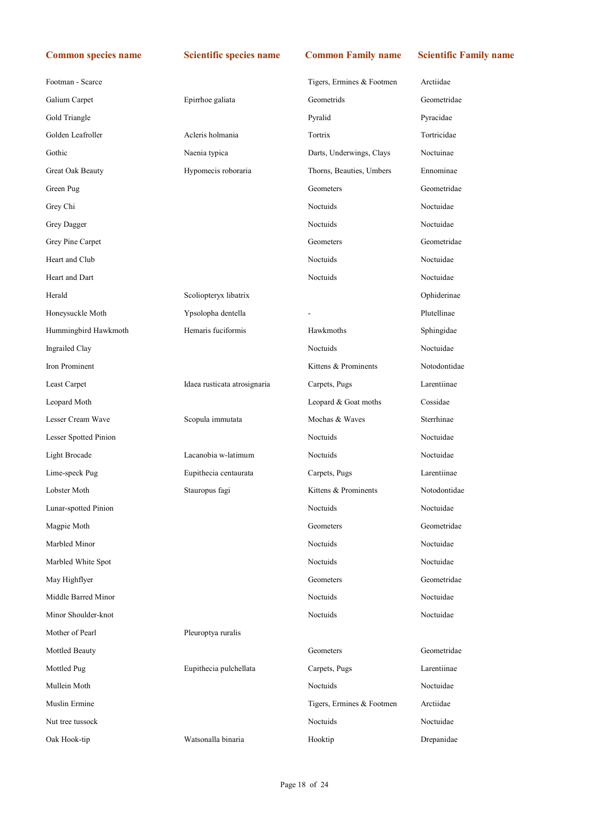| Footman - Scarce      |                              | Tigers, Ermines & Footmen | Arctiidae    |
|-----------------------|------------------------------|---------------------------|--------------|
| Galium Carpet         | Epirrhoe galiata             | Geometrids                | Geometridae  |
| Gold Triangle         |                              | Pyralid                   | Pyracidae    |
| Golden Leafroller     | Acleris holmania             | Tortrix                   | Tortricidae  |
| Gothic                | Naenia typica                | Darts, Underwings, Clays  | Noctuinae    |
| Great Oak Beauty      | Hypomecis roboraria          | Thorns, Beauties, Umbers  | Ennominae    |
| Green Pug             |                              | Geometers                 | Geometridae  |
| Grey Chi              |                              | Noctuids                  | Noctuidae    |
| Grey Dagger           |                              | Noctuids                  | Noctuidae    |
| Grey Pine Carpet      |                              | Geometers                 | Geometridae  |
| Heart and Club        |                              | Noctuids                  | Noctuidae    |
| Heart and Dart        |                              | Noctuids                  | Noctuidae    |
| Herald                | Scoliopteryx libatrix        |                           | Ophiderinae  |
| Honeysuckle Moth      | Ypsolopha dentella           |                           | Plutellinae  |
| Hummingbird Hawkmoth  | Hemaris fuciformis           | Hawkmoths                 | Sphingidae   |
| Ingrailed Clay        |                              | Noctuids                  | Noctuidae    |
| Iron Prominent        |                              | Kittens & Prominents      | Notodontidae |
| Least Carpet          | Idaea rusticata atrosignaria | Carpets, Pugs             | Larentiinae  |
| Leopard Moth          |                              | Leopard & Goat moths      | Cossidae     |
| Lesser Cream Wave     | Scopula immutata             | Mochas & Waves            | Sterrhinae   |
| Lesser Spotted Pinion |                              | Noctuids                  | Noctuidae    |
| Light Brocade         | Lacanobia w-latimum          | Noctuids                  | Noctuidae    |
| Lime-speck Pug        | Eupithecia centaurata        | Carpets, Pugs             | Larentiinae  |
| Lobster Moth          | Stauropus fagi               | Kittens & Prominents      | Notodontidae |
| Lunar-spotted Pinion  |                              | Noctuids                  | Noctuidae    |
| Magpie Moth           |                              | Geometers                 | Geometridae  |
| Marbled Minor         |                              | Noctuids                  | Noctuidae    |
| Marbled White Spot    |                              | Noctuids                  | Noctuidae    |
| May Highflyer         |                              | Geometers                 | Geometridae  |
| Middle Barred Minor   |                              | Noctuids                  | Noctuidae    |
| Minor Shoulder-knot   |                              | Noctuids                  | Noctuidae    |
| Mother of Pearl       | Pleuroptya ruralis           |                           |              |
| Mottled Beauty        |                              | Geometers                 | Geometridae  |
| Mottled Pug           | Eupithecia pulchellata       | Carpets, Pugs             | Larentiinae  |
| Mullein Moth          |                              | Noctuids                  | Noctuidae    |
| Muslin Ermine         |                              | Tigers, Ermines & Footmen | Arctiidae    |
| Nut tree tussock      |                              | Noctuids                  | Noctuidae    |
| Oak Hook-tip          | Watsonalla binaria           | Hooktip                   | Drepanidae   |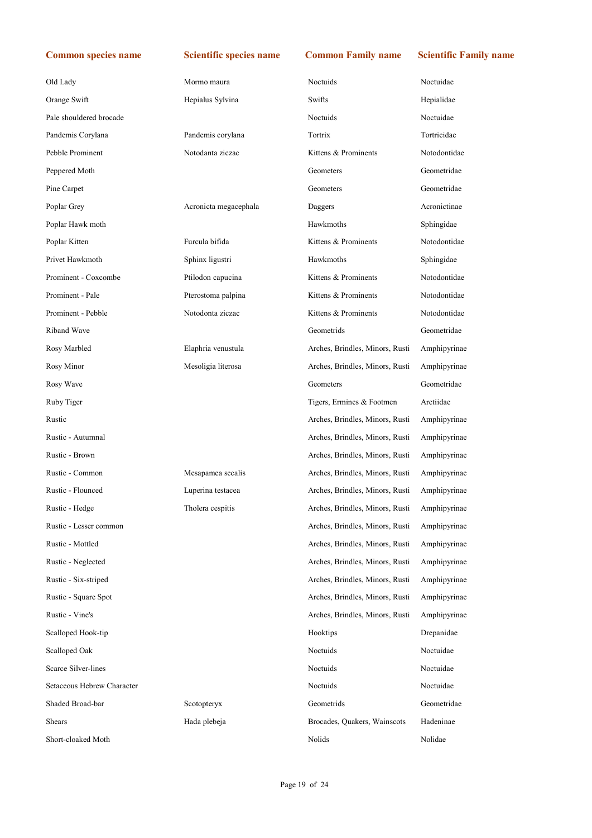| Old Lady                | Mormo maura           | <b>Noctuids</b>                 | Noctuidae    |
|-------------------------|-----------------------|---------------------------------|--------------|
| Orange Swift            | Hepialus Sylvina      | Swifts                          | Hepialidae   |
| Pale shouldered brocade |                       | <b>Noctuids</b>                 | Noctuidae    |
| Pandemis Corylana       | Pandemis corylana     | Tortrix                         | Tortricidae  |
| Pebble Prominent        | Notodanta ziczac      | Kittens & Prominents            | Notodontidae |
| Peppered Moth           |                       | Geometers                       | Geometridae  |
| Pine Carpet             |                       | Geometers                       | Geometridae  |
| Poplar Grey             | Acronicta megacephala | Daggers                         | Acronictinae |
| Poplar Hawk moth        |                       | Hawkmoths                       | Sphingidae   |
| Poplar Kitten           | Furcula bifida        | Kittens & Prominents            | Notodontidae |
| Privet Hawkmoth         | Sphinx ligustri       | Hawkmoths                       | Sphingidae   |
| Prominent - Coxcombe    | Ptilodon capucina     | Kittens & Prominents            | Notodontidae |
| Prominent - Pale        | Pterostoma palpina    | Kittens & Prominents            | Notodontidae |
| Prominent - Pebble      | Notodonta ziczac      | Kittens & Prominents            | Notodontidae |
| Riband Wave             |                       | Geometrids                      | Geometridae  |
| Rosy Marbled            | Elaphria venustula    | Arches, Brindles, Minors, Rusti | Amphipyrinae |
| Rosy Minor              | Mesoligia literosa    | Arches, Brindles, Minors, Rusti | Amphipyrinae |
|                         |                       |                                 |              |

Rosy Wave Geometers Geometers Geometers Geometers Geometridae Ruby Tiger Tigers, Ermines & Footmen Arctiidae Rustic Arches, Brindles, Minors, Rusti Amphipyrinae Rustic - Autumnal Arches, Brindles, Minors, Rusti Amphipyrinae Rustic - Brown Arches, Brindles, Minors, Rusti Amphipyrinae Rustic - Common Mesapamea secalis Arches, Brindles, Minors, Rusti Amphipyrinae Rustic - Flounced Luperina testacea Arches, Brindles, Minors, Rusti Amphipyrinae Rustic - Hedge Tholera cespitis Arches, Brindles, Minors, Rusti Amphipyrinae Rustic - Lesser common Arches, Brindles, Minors, Rusti Amphipyrinae Rustic - Mottled Arches, Brindles, Minors, Rusti Amphipyrinae Rustic - Neglected Arches, Brindles, Minors, Rusti Amphipyrinae Rustic - Six-striped Arches, Brindles, Minors, Rusti Amphipyrinae Rustic - Square Spot Arches, Brindles, Minors, Rusti Amphipyrinae Rustic - Vine's Arches, Brindles, Minors, Rusti Amphipyrinae Scalloped Hook-tip Hooktips Drepanidae Scalloped Oak Noctuids Noctuids Noctuidae Noctuidae Noctuidae Noctuidae Noctuidae Noctuidae Noctuidae Noctuidae Scarce Silver-lines Noctuids Noctuidae Setaceous Hebrew Character **Noctural Execution Character** Noctural Noctural Noctural Noctural Noctural Noctural Noctural Noctural Noctural Noctural Noctural Noctural Noctural Noctural Noctural Noctural Noctural Noctural No Shaded Broad-bar Scotopteryx Geometrids Geometridae Shears Hada plebeja Brocades, Quakers, Wainscots Hadeninae Short-cloaked Moth Nolids Nolidae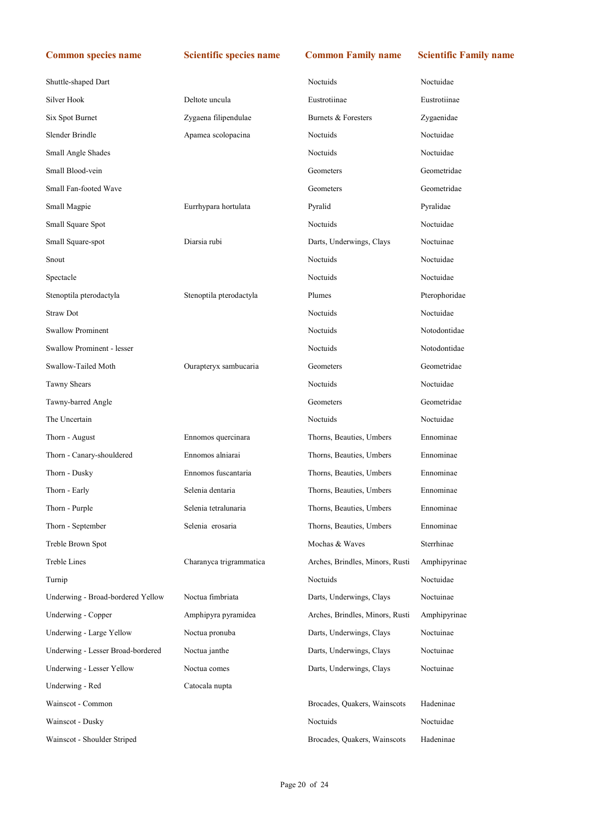| Shuttle-shaped Dart               |                         | Noctuids                        | Noctuidae     |
|-----------------------------------|-------------------------|---------------------------------|---------------|
| Silver Hook                       | Deltote uncula          | Eustrotiinae                    | Eustrotiinae  |
| Six Spot Burnet                   | Zygaena filipendulae    | Burnets & Foresters             | Zygaenidae    |
| Slender Brindle                   | Apamea scolopacina      | Noctuids                        | Noctuidae     |
| Small Angle Shades                |                         | Noctuids                        | Noctuidae     |
| Small Blood-vein                  |                         | Geometers                       | Geometridae   |
| Small Fan-footed Wave             |                         | Geometers                       | Geometridae   |
| Small Magpie                      | Eurrhypara hortulata    | Pyralid                         | Pyralidae     |
| Small Square Spot                 |                         | Noctuids                        | Noctuidae     |
| Small Square-spot                 | Diarsia rubi            | Darts, Underwings, Clays        | Noctuinae     |
| Snout                             |                         | Noctuids                        | Noctuidae     |
| Spectacle                         |                         | <b>Noctuids</b>                 | Noctuidae     |
| Stenoptila pterodactyla           | Stenoptila pterodactyla | Plumes                          | Pterophoridae |
| <b>Straw Dot</b>                  |                         | <b>Noctuids</b>                 | Noctuidae     |
| <b>Swallow Prominent</b>          |                         | Noctuids                        | Notodontidae  |
| Swallow Prominent - lesser        |                         | Noctuids                        | Notodontidae  |
| Swallow-Tailed Moth               | Ourapteryx sambucaria   | Geometers                       | Geometridae   |
| <b>Tawny Shears</b>               |                         | Noctuids                        | Noctuidae     |
| Tawny-barred Angle                |                         | Geometers                       | Geometridae   |
| The Uncertain                     |                         | Noctuids                        | Noctuidae     |
| Thorn - August                    | Ennomos quercinara      | Thorns, Beauties, Umbers        | Ennominae     |
| Thorn - Canary-shouldered         | Ennomos alniarai        | Thorns, Beauties, Umbers        | Ennominae     |
| Thorn - Dusky                     | Ennomos fuscantaria     | Thorns, Beauties, Umbers        | Ennominae     |
| Thorn - Early                     | Selenia dentaria        | Thorns, Beauties, Umbers        | Ennominae     |
| Thorn - Purple                    | Selenia tetralunaria    | Thorns, Beauties, Umbers        | Ennominae     |
| Thorn - September                 | Selenia erosaria        | Thorns, Beauties, Umbers        | Ennominae     |
| Treble Brown Spot                 |                         | Mochas & Waves                  | Sterrhinae    |
| <b>Treble Lines</b>               | Charanyca trigrammatica | Arches, Brindles, Minors, Rusti | Amphipyrinae  |
| Turnip                            |                         | Noctuids                        | Noctuidae     |
| Underwing - Broad-bordered Yellow | Noctua fimbriata        | Darts, Underwings, Clays        | Noctuinae     |
| Underwing - Copper                | Amphipyra pyramidea     | Arches, Brindles, Minors, Rusti | Amphipyrinae  |
| Underwing - Large Yellow          | Noctua pronuba          | Darts, Underwings, Clays        | Noctuinae     |
| Underwing - Lesser Broad-bordered | Noctua janthe           | Darts, Underwings, Clays        | Noctuinae     |
| Underwing - Lesser Yellow         | Noctua comes            | Darts, Underwings, Clays        | Noctuinae     |
| Underwing - Red                   | Catocala nupta          |                                 |               |
| Wainscot - Common                 |                         | Brocades, Quakers, Wainscots    | Hadeninae     |
| Wainscot - Dusky                  |                         | Noctuids                        | Noctuidae     |
| Wainscot - Shoulder Striped       |                         | Brocades, Quakers, Wainscots    | Hadeninae     |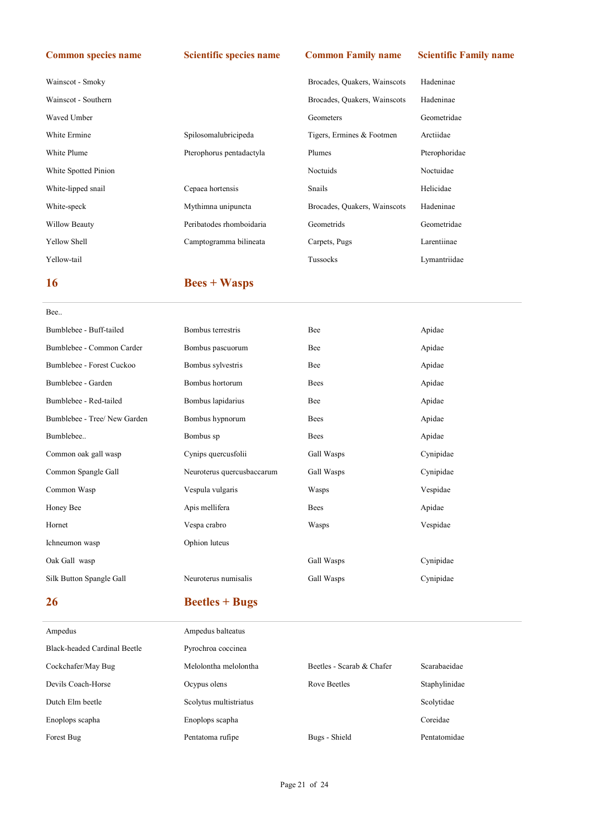| Wainscot - Smoky     |                          | Brocades, Quakers, Wainscots | Hadeninae     |
|----------------------|--------------------------|------------------------------|---------------|
| Wainscot - Southern  |                          | Brocades, Quakers, Wainscots | Hadeninae     |
| Waved Umber          |                          | Geometers                    | Geometridae   |
| White Ermine         | Spilosomalubricipeda     | Tigers, Ermines & Footmen    | Arctiidae     |
| White Plume          | Pterophorus pentadactyla | Plumes                       | Pterophoridae |
| White Spotted Pinion |                          | Noctuids                     | Noctuidae     |
| White-lipped snail   | Cepaea hortensis         | Snails                       | Helicidae     |
| White-speck          | Mythimna unipuncta       | Brocades, Quakers, Wainscots | Hadeninae     |
| Willow Beauty        | Peribatodes rhomboidaria | Geometrids                   | Geometridae   |
| Yellow Shell         | Camptogramma bilineata   | Carpets, Pugs                | Larentiinae   |
| Yellow-tail          |                          | Tussocks                     | Lymantriidae  |
|                      |                          |                              |               |

# 16 Bees + Wasps

| Bee                          |                            |             |           |
|------------------------------|----------------------------|-------------|-----------|
| Bumblebee - Buff-tailed      | Bombus terrestris          | Bee         | Apidae    |
| Bumblebee - Common Carder    | Bombus pascuorum           | Bee         | Apidae    |
| Bumblebee - Forest Cuckoo    | Bombus sylvestris          | Bee         | Apidae    |
| Bumblebee - Garden           | Bombus hortorum            | <b>Bees</b> | Apidae    |
| Bumblebee - Red-tailed       | Bombus lapidarius          | Bee         | Apidae    |
| Bumblebee - Tree/ New Garden | Bombus hypnorum            | <b>Bees</b> | Apidae    |
| Bumblebee                    | Bombus sp                  | <b>Bees</b> | Apidae    |
| Common oak gall wasp         | Cynips quercusfolii        | Gall Wasps  | Cynipidae |
| Common Spangle Gall          | Neuroterus quercusbaccarum | Gall Wasps  | Cynipidae |
| Common Wasp                  | Vespula vulgaris           | Wasps       | Vespidae  |
| Honey Bee                    | Apis mellifera             | <b>Bees</b> | Apidae    |
| Hornet                       | Vespa crabro               | Wasps       | Vespidae  |
| Ichneumon wasp               | Ophion luteus              |             |           |
| Oak Gall wasp                |                            | Gall Wasps  | Cynipidae |
| Silk Button Spangle Gall     | Neuroterus numisalis       | Gall Wasps  | Cynipidae |
|                              |                            |             |           |

# 26 Beetles + Bugs

| Ampedus                      | Ampedus balteatus      |                           |               |
|------------------------------|------------------------|---------------------------|---------------|
| Black-headed Cardinal Beetle | Pyrochroa coccinea     |                           |               |
| Cockchafer/May Bug           | Melolontha melolontha  | Beetles - Scarab & Chafer | Scarabaeidae  |
| Devils Coach-Horse           | Ocypus olens           | Rove Beetles              | Staphylinidae |
| Dutch Elm beetle             | Scolytus multistriatus |                           | Scolytidae    |
| Enoplops scapha              | Enoplops scapha        |                           | Coreidae      |
| Forest Bug                   | Pentatoma rufipe       | Bugs - Shield             | Pentatomidae  |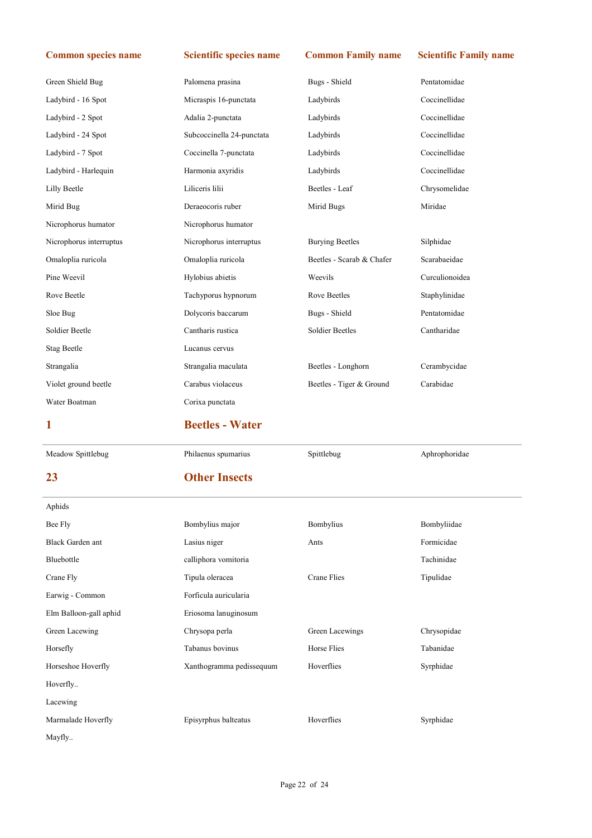| Green Shield Bug        | Palomena prasina          | Bugs - Shield             | Pentatomidae   |
|-------------------------|---------------------------|---------------------------|----------------|
| Ladybird - 16 Spot      | Micraspis 16-punctata     | Ladybirds                 | Coccinellidae  |
| Ladybird - 2 Spot       | Adalia 2-punctata         | Ladybirds                 | Coccinellidae  |
| Ladybird - 24 Spot      | Subcoccinella 24-punctata | Ladybirds                 | Coccinellidae  |
| Ladybird - 7 Spot       | Coccinella 7-punctata     | Ladybirds                 | Coccinellidae  |
| Ladybird - Harlequin    | Harmonia axyridis         | Ladybirds                 | Coccinellidae  |
| Lilly Beetle            | Liliceris lilii           | Beetles - Leaf            | Chrysomelidae  |
| Mirid Bug               | Deraeocoris ruber         | Mirid Bugs                | Miridae        |
| Nicrophorus humator     | Nicrophorus humator       |                           |                |
| Nicrophorus interruptus | Nicrophorus interruptus   | <b>Burying Beetles</b>    | Silphidae      |
| Omaloplia ruricola      | Omaloplia ruricola        | Beetles - Scarab & Chafer | Scarabaeidae   |
| Pine Weevil             | Hylobius abietis          | Weevils                   | Curculionoidea |
| Rove Beetle             | Tachyporus hypnorum       | Rove Beetles              | Staphylinidae  |
| Sloe Bug                | Dolycoris baccarum        | Bugs - Shield             | Pentatomidae   |
| Soldier Beetle          | Cantharis rustica         | Soldier Beetles           | Cantharidae    |
| <b>Stag Beetle</b>      | Lucanus cervus            |                           |                |
| Strangalia              | Strangalia maculata       | Beetles - Longhorn        | Cerambycidae   |
| Violet ground beetle    | Carabus violaceus         | Beetles - Tiger & Ground  | Carabidae      |
|                         |                           |                           |                |
| Water Boatman           | Corixa punctata           |                           |                |
| 1                       | <b>Beetles - Water</b>    |                           |                |
| Meadow Spittlebug       | Philaenus spumarius       | Spittlebug                | Aphrophoridae  |
| 23                      | <b>Other Insects</b>      |                           |                |
| Aphids                  |                           |                           |                |
| Bee Fly                 | Bombylius major           | Bombylius                 | Bombyliidae    |
| Black Garden ant        | Lasius niger              | Ants                      | Formicidae     |
| Bluebottle              | calliphora vomitoria      |                           | Tachinidae     |
| Crane Fly               | Tipula oleracea           | Crane Flies               | Tipulidae      |
| Earwig - Common         | Forficula auricularia     |                           |                |
| Elm Balloon-gall aphid  | Eriosoma lanuginosum      |                           |                |
| Green Lacewing          | Chrysopa perla            | Green Lacewings           | Chrysopidae    |
| Horsefly                | Tabanus bovinus           | Horse Flies               | Tabanidae      |
| Horseshoe Hoverfly      | Xanthogramma pedissequum  | Hoverflies                | Syrphidae      |
| Hoverfly                |                           |                           |                |
| Lacewing                |                           |                           |                |
| Marmalade Hoverfly      | Episyrphus balteatus      | Hoverflies                | Syrphidae      |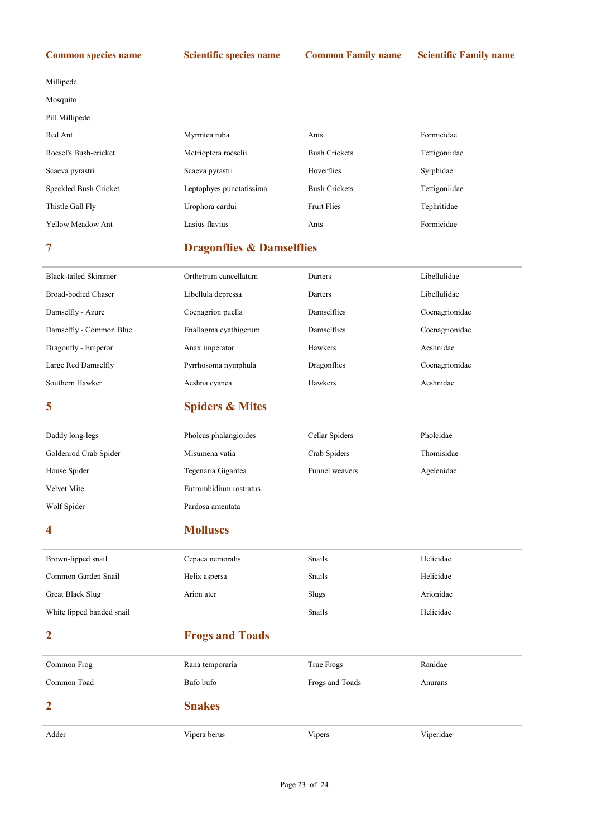Millipede

Mosquito

| Pill Millipede           |                          |                      |               |  |
|--------------------------|--------------------------|----------------------|---------------|--|
| Red Ant                  | Myrmica ruba             | Ants                 | Formicidae    |  |
| Roesel's Bush-cricket    | Metrioptera roeselii     | <b>Bush Crickets</b> | Tettigoniidae |  |
| Scaeva pyrastri          | Scaeva pyrastri          | Hoverflies           | Syrphidae     |  |
| Speckled Bush Cricket    | Leptophyes punctatissima | <b>Bush Crickets</b> | Tettigoniidae |  |
| Thistle Gall Fly         | Urophora cardui          | <b>Fruit Flies</b>   | Tephritidae   |  |
| <b>Yellow Meadow Ant</b> | Lasius flavius           | Ants                 | Formicidae    |  |

# 7 Dragonflies & Damselflies

| Black-tailed Skimmer    | Orthetrum cancellatum | Darters            | Libellulidae   |
|-------------------------|-----------------------|--------------------|----------------|
| Broad-bodied Chaser     | Libellula depressa    | Darters            | Libellulidae   |
| Damselfly - Azure       | Coenagrion puella     | <b>Damselflies</b> | Coenagrionidae |
| Damselfly - Common Blue | Enallagma cyathigerum | <b>Damselflies</b> | Coenagrionidae |
| Dragonfly - Emperor     | Anax imperator        | Hawkers            | Aeshnidae      |
| Large Red Damselfly     | Pyrrhosoma nymphula   | Dragonflies        | Coenagrionidae |
| Southern Hawker         | Aeshna cyanea         | Hawkers            | Aeshnidae      |

# 5 Spiders & Mites

| Daddy long-legs       | Pholcus phalangioides  | Cellar Spiders | Pholcidae  |
|-----------------------|------------------------|----------------|------------|
| Goldenrod Crab Spider | Misumena vatia         | Crab Spiders   | Thomisidae |
| House Spider          | Tegenaria Gigantea     | Funnel weavers | Agelenidae |
| Velvet Mite           | Eutrombidium rostratus |                |            |
| Wolf Spider           | Pardosa amentata       |                |            |

## 4 Molluscs

| Brown-lipped snail        | Cepaea nemoralis       | Snails          | Helicidae |
|---------------------------|------------------------|-----------------|-----------|
| Common Garden Snail       | Helix aspersa          | Snails          | Helicidae |
| Great Black Slug          | Arion ater             | Slugs           | Arionidae |
| White lipped banded snail |                        | Snails          | Helicidae |
| $\overline{2}$            | <b>Frogs and Toads</b> |                 |           |
| Common Frog               | Rana temporaria        | True Frogs      | Ranidae   |
| Common Toad               | Bufo bufo              | Frogs and Toads | Anurans   |
| $\overline{2}$            | <b>Snakes</b>          |                 |           |
| Adder                     | Vipera berus           | Vipers          | Viperidae |